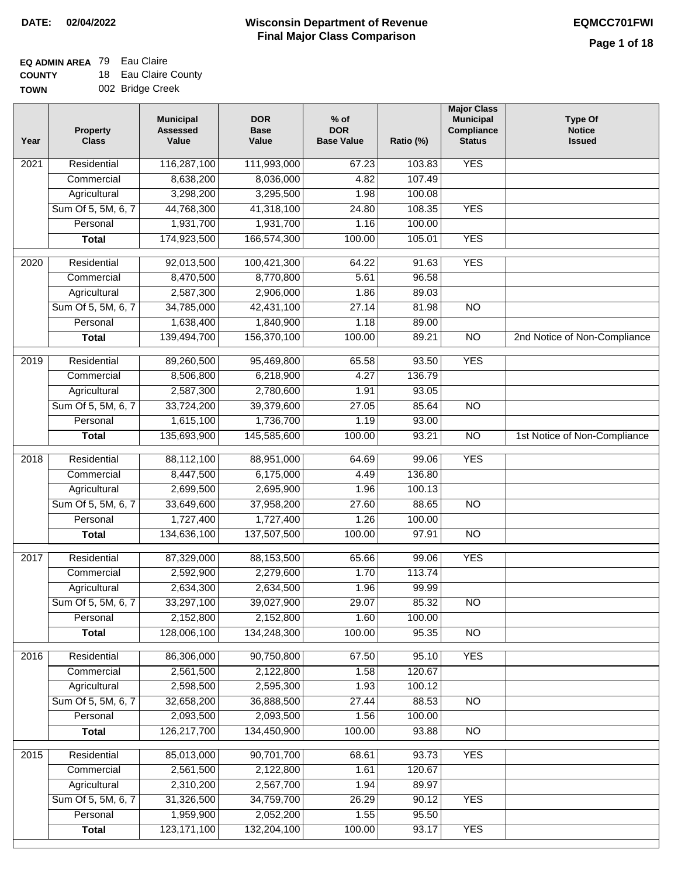# **EQ ADMIN AREA** 79 Eau Claire

**COUNTY TOWN** 18 Eau Claire County 002 Bridge Creek

| <b>YES</b><br>Residential<br>116,287,100<br>111,993,000<br>67.23<br>103.83<br>2021<br>8,638,200<br>8,036,000<br>4.82<br>107.49<br>Commercial<br>Agricultural<br>3,298,200<br>3,295,500<br>100.08<br>1.98<br>Sum Of 5, 5M, 6, 7<br>44,768,300<br>41,318,100<br><b>YES</b><br>24.80<br>108.35<br>1,931,700<br>1,931,700<br>100.00<br>Personal<br>1.16<br>174,923,500<br>166,574,300<br>105.01<br><b>YES</b><br><b>Total</b><br>100.00<br><b>YES</b><br>100,421,300<br>2020<br>Residential<br>92,013,500<br>64.22<br>91.63<br>8,470,500<br>96.58<br>8,770,800<br>Commercial<br>5.61<br>Agricultural<br>2,587,300<br>2,906,000<br>1.86<br>89.03<br>Sum Of 5, 5M, 6, 7<br>34,785,000<br>42,431,100<br>27.14<br>81.98<br>$\overline{NO}$<br>1,638,400<br>1,840,900<br>1.18<br>89.00<br>Personal<br>139,494,700<br>156,370,100<br>$\overline{NO}$<br>2nd Notice of Non-Compliance<br>100.00<br>89.21<br><b>Total</b><br><b>YES</b><br>Residential<br>89,260,500<br>95,469,800<br>65.58<br>93.50<br>2019<br>8,506,800<br>6,218,900<br>4.27<br>136.79<br>Commercial<br>2,587,300<br>2,780,600<br>1.91<br>93.05<br>Agricultural<br>85.64<br>Sum Of 5, 5M, 6, 7<br>33,724,200<br>39,379,600<br>27.05<br>$\overline{NO}$<br>1,615,100<br>1,736,700<br>Personal<br>1.19<br>93.00<br>135,693,900<br>145,585,600<br>100.00<br>93.21<br>$\overline{NO}$<br><b>Total</b><br>1st Notice of Non-Compliance<br><b>YES</b><br>Residential<br>88,112,100<br>2018<br>88,951,000<br>64.69<br>99.06<br>6,175,000<br>136.80<br>Commercial<br>8,447,500<br>4.49<br>2,699,500<br>2,695,900<br>100.13<br>Agricultural<br>1.96<br>Sum Of 5, 5M, 6, 7<br>33,649,600<br>37,958,200<br>27.60<br>88.65<br>$\overline{NO}$<br>Personal<br>1,727,400<br>1,727,400<br>1.26<br>100.00<br>137,507,500<br>134,636,100<br>100.00<br>97.91<br><b>NO</b><br><b>Total</b><br>Residential<br>87,329,000<br>88,153,500<br>99.06<br><b>YES</b><br>2017<br>65.66<br>Commercial<br>2,592,900<br>2,279,600<br>1.70<br>113.74<br>2,634,500<br>2,634,300<br>1.96<br>99.99<br>Agricultural<br>39,027,900<br>85.32<br>Sum Of 5, 5M, 6, 7<br>33,297,100<br>29.07<br><b>NO</b><br>1.60<br>Personal<br>2,152,800<br>2,152,800<br>100.00<br>128,006,100<br>134,248,300<br>100.00<br>95.35<br><b>Total</b><br><b>NO</b><br>86,306,000<br><b>YES</b><br>2016<br>Residential<br>90,750,800<br>67.50<br>95.10<br>2,561,500<br>2,122,800<br>1.58<br>120.67<br>Commercial<br>2,598,500<br>2,595,300<br>100.12<br>Agricultural<br>1.93<br>Sum Of 5, 5M, 6, 7<br>36,888,500<br>32,658,200<br>27.44<br>88.53<br>N <sub>O</sub><br>2,093,500<br>2,093,500<br>100.00<br>Personal<br>1.56<br>126,217,700<br>134,450,900<br>100.00<br>93.88<br>N <sub>O</sub><br><b>Total</b><br>85,013,000<br><b>YES</b><br>2015<br>Residential<br>90,701,700<br>68.61<br>93.73<br>2,561,500<br>2,122,800<br>120.67<br>Commercial<br>1.61<br>2,310,200<br>2,567,700<br>89.97<br>Agricultural<br>1.94<br>Sum Of 5, 5M, 6, 7<br>31,326,500<br>34,759,700<br>26.29<br>90.12<br><b>YES</b><br>1,959,900<br>2,052,200<br>95.50<br>Personal<br>1.55<br>123, 171, 100<br>132,204,100<br>93.17<br><b>YES</b><br><b>Total</b><br>100.00 | Year | <b>Property</b><br><b>Class</b> | <b>Municipal</b><br><b>Assessed</b><br>Value | <b>DOR</b><br><b>Base</b><br>Value | $%$ of<br><b>DOR</b><br><b>Base Value</b> | Ratio (%) | <b>Major Class</b><br><b>Municipal</b><br>Compliance<br><b>Status</b> | <b>Type Of</b><br><b>Notice</b><br><b>Issued</b> |
|------------------------------------------------------------------------------------------------------------------------------------------------------------------------------------------------------------------------------------------------------------------------------------------------------------------------------------------------------------------------------------------------------------------------------------------------------------------------------------------------------------------------------------------------------------------------------------------------------------------------------------------------------------------------------------------------------------------------------------------------------------------------------------------------------------------------------------------------------------------------------------------------------------------------------------------------------------------------------------------------------------------------------------------------------------------------------------------------------------------------------------------------------------------------------------------------------------------------------------------------------------------------------------------------------------------------------------------------------------------------------------------------------------------------------------------------------------------------------------------------------------------------------------------------------------------------------------------------------------------------------------------------------------------------------------------------------------------------------------------------------------------------------------------------------------------------------------------------------------------------------------------------------------------------------------------------------------------------------------------------------------------------------------------------------------------------------------------------------------------------------------------------------------------------------------------------------------------------------------------------------------------------------------------------------------------------------------------------------------------------------------------------------------------------------------------------------------------------------------------------------------------------------------------------------------------------------------------------------------------------------------------------------------------------------------------------------------------------------------------------------------------------------------------------------------------------------------------------------------------------------------------------------------------------------------------------------------------------------------------------------------------------------------------------------------------------------------------------------------------------------------------|------|---------------------------------|----------------------------------------------|------------------------------------|-------------------------------------------|-----------|-----------------------------------------------------------------------|--------------------------------------------------|
|                                                                                                                                                                                                                                                                                                                                                                                                                                                                                                                                                                                                                                                                                                                                                                                                                                                                                                                                                                                                                                                                                                                                                                                                                                                                                                                                                                                                                                                                                                                                                                                                                                                                                                                                                                                                                                                                                                                                                                                                                                                                                                                                                                                                                                                                                                                                                                                                                                                                                                                                                                                                                                                                                                                                                                                                                                                                                                                                                                                                                                                                                                                                          |      |                                 |                                              |                                    |                                           |           |                                                                       |                                                  |
|                                                                                                                                                                                                                                                                                                                                                                                                                                                                                                                                                                                                                                                                                                                                                                                                                                                                                                                                                                                                                                                                                                                                                                                                                                                                                                                                                                                                                                                                                                                                                                                                                                                                                                                                                                                                                                                                                                                                                                                                                                                                                                                                                                                                                                                                                                                                                                                                                                                                                                                                                                                                                                                                                                                                                                                                                                                                                                                                                                                                                                                                                                                                          |      |                                 |                                              |                                    |                                           |           |                                                                       |                                                  |
|                                                                                                                                                                                                                                                                                                                                                                                                                                                                                                                                                                                                                                                                                                                                                                                                                                                                                                                                                                                                                                                                                                                                                                                                                                                                                                                                                                                                                                                                                                                                                                                                                                                                                                                                                                                                                                                                                                                                                                                                                                                                                                                                                                                                                                                                                                                                                                                                                                                                                                                                                                                                                                                                                                                                                                                                                                                                                                                                                                                                                                                                                                                                          |      |                                 |                                              |                                    |                                           |           |                                                                       |                                                  |
|                                                                                                                                                                                                                                                                                                                                                                                                                                                                                                                                                                                                                                                                                                                                                                                                                                                                                                                                                                                                                                                                                                                                                                                                                                                                                                                                                                                                                                                                                                                                                                                                                                                                                                                                                                                                                                                                                                                                                                                                                                                                                                                                                                                                                                                                                                                                                                                                                                                                                                                                                                                                                                                                                                                                                                                                                                                                                                                                                                                                                                                                                                                                          |      |                                 |                                              |                                    |                                           |           |                                                                       |                                                  |
|                                                                                                                                                                                                                                                                                                                                                                                                                                                                                                                                                                                                                                                                                                                                                                                                                                                                                                                                                                                                                                                                                                                                                                                                                                                                                                                                                                                                                                                                                                                                                                                                                                                                                                                                                                                                                                                                                                                                                                                                                                                                                                                                                                                                                                                                                                                                                                                                                                                                                                                                                                                                                                                                                                                                                                                                                                                                                                                                                                                                                                                                                                                                          |      |                                 |                                              |                                    |                                           |           |                                                                       |                                                  |
|                                                                                                                                                                                                                                                                                                                                                                                                                                                                                                                                                                                                                                                                                                                                                                                                                                                                                                                                                                                                                                                                                                                                                                                                                                                                                                                                                                                                                                                                                                                                                                                                                                                                                                                                                                                                                                                                                                                                                                                                                                                                                                                                                                                                                                                                                                                                                                                                                                                                                                                                                                                                                                                                                                                                                                                                                                                                                                                                                                                                                                                                                                                                          |      |                                 |                                              |                                    |                                           |           |                                                                       |                                                  |
|                                                                                                                                                                                                                                                                                                                                                                                                                                                                                                                                                                                                                                                                                                                                                                                                                                                                                                                                                                                                                                                                                                                                                                                                                                                                                                                                                                                                                                                                                                                                                                                                                                                                                                                                                                                                                                                                                                                                                                                                                                                                                                                                                                                                                                                                                                                                                                                                                                                                                                                                                                                                                                                                                                                                                                                                                                                                                                                                                                                                                                                                                                                                          |      |                                 |                                              |                                    |                                           |           |                                                                       |                                                  |
|                                                                                                                                                                                                                                                                                                                                                                                                                                                                                                                                                                                                                                                                                                                                                                                                                                                                                                                                                                                                                                                                                                                                                                                                                                                                                                                                                                                                                                                                                                                                                                                                                                                                                                                                                                                                                                                                                                                                                                                                                                                                                                                                                                                                                                                                                                                                                                                                                                                                                                                                                                                                                                                                                                                                                                                                                                                                                                                                                                                                                                                                                                                                          |      |                                 |                                              |                                    |                                           |           |                                                                       |                                                  |
|                                                                                                                                                                                                                                                                                                                                                                                                                                                                                                                                                                                                                                                                                                                                                                                                                                                                                                                                                                                                                                                                                                                                                                                                                                                                                                                                                                                                                                                                                                                                                                                                                                                                                                                                                                                                                                                                                                                                                                                                                                                                                                                                                                                                                                                                                                                                                                                                                                                                                                                                                                                                                                                                                                                                                                                                                                                                                                                                                                                                                                                                                                                                          |      |                                 |                                              |                                    |                                           |           |                                                                       |                                                  |
|                                                                                                                                                                                                                                                                                                                                                                                                                                                                                                                                                                                                                                                                                                                                                                                                                                                                                                                                                                                                                                                                                                                                                                                                                                                                                                                                                                                                                                                                                                                                                                                                                                                                                                                                                                                                                                                                                                                                                                                                                                                                                                                                                                                                                                                                                                                                                                                                                                                                                                                                                                                                                                                                                                                                                                                                                                                                                                                                                                                                                                                                                                                                          |      |                                 |                                              |                                    |                                           |           |                                                                       |                                                  |
|                                                                                                                                                                                                                                                                                                                                                                                                                                                                                                                                                                                                                                                                                                                                                                                                                                                                                                                                                                                                                                                                                                                                                                                                                                                                                                                                                                                                                                                                                                                                                                                                                                                                                                                                                                                                                                                                                                                                                                                                                                                                                                                                                                                                                                                                                                                                                                                                                                                                                                                                                                                                                                                                                                                                                                                                                                                                                                                                                                                                                                                                                                                                          |      |                                 |                                              |                                    |                                           |           |                                                                       |                                                  |
|                                                                                                                                                                                                                                                                                                                                                                                                                                                                                                                                                                                                                                                                                                                                                                                                                                                                                                                                                                                                                                                                                                                                                                                                                                                                                                                                                                                                                                                                                                                                                                                                                                                                                                                                                                                                                                                                                                                                                                                                                                                                                                                                                                                                                                                                                                                                                                                                                                                                                                                                                                                                                                                                                                                                                                                                                                                                                                                                                                                                                                                                                                                                          |      |                                 |                                              |                                    |                                           |           |                                                                       |                                                  |
|                                                                                                                                                                                                                                                                                                                                                                                                                                                                                                                                                                                                                                                                                                                                                                                                                                                                                                                                                                                                                                                                                                                                                                                                                                                                                                                                                                                                                                                                                                                                                                                                                                                                                                                                                                                                                                                                                                                                                                                                                                                                                                                                                                                                                                                                                                                                                                                                                                                                                                                                                                                                                                                                                                                                                                                                                                                                                                                                                                                                                                                                                                                                          |      |                                 |                                              |                                    |                                           |           |                                                                       |                                                  |
|                                                                                                                                                                                                                                                                                                                                                                                                                                                                                                                                                                                                                                                                                                                                                                                                                                                                                                                                                                                                                                                                                                                                                                                                                                                                                                                                                                                                                                                                                                                                                                                                                                                                                                                                                                                                                                                                                                                                                                                                                                                                                                                                                                                                                                                                                                                                                                                                                                                                                                                                                                                                                                                                                                                                                                                                                                                                                                                                                                                                                                                                                                                                          |      |                                 |                                              |                                    |                                           |           |                                                                       |                                                  |
|                                                                                                                                                                                                                                                                                                                                                                                                                                                                                                                                                                                                                                                                                                                                                                                                                                                                                                                                                                                                                                                                                                                                                                                                                                                                                                                                                                                                                                                                                                                                                                                                                                                                                                                                                                                                                                                                                                                                                                                                                                                                                                                                                                                                                                                                                                                                                                                                                                                                                                                                                                                                                                                                                                                                                                                                                                                                                                                                                                                                                                                                                                                                          |      |                                 |                                              |                                    |                                           |           |                                                                       |                                                  |
|                                                                                                                                                                                                                                                                                                                                                                                                                                                                                                                                                                                                                                                                                                                                                                                                                                                                                                                                                                                                                                                                                                                                                                                                                                                                                                                                                                                                                                                                                                                                                                                                                                                                                                                                                                                                                                                                                                                                                                                                                                                                                                                                                                                                                                                                                                                                                                                                                                                                                                                                                                                                                                                                                                                                                                                                                                                                                                                                                                                                                                                                                                                                          |      |                                 |                                              |                                    |                                           |           |                                                                       |                                                  |
|                                                                                                                                                                                                                                                                                                                                                                                                                                                                                                                                                                                                                                                                                                                                                                                                                                                                                                                                                                                                                                                                                                                                                                                                                                                                                                                                                                                                                                                                                                                                                                                                                                                                                                                                                                                                                                                                                                                                                                                                                                                                                                                                                                                                                                                                                                                                                                                                                                                                                                                                                                                                                                                                                                                                                                                                                                                                                                                                                                                                                                                                                                                                          |      |                                 |                                              |                                    |                                           |           |                                                                       |                                                  |
|                                                                                                                                                                                                                                                                                                                                                                                                                                                                                                                                                                                                                                                                                                                                                                                                                                                                                                                                                                                                                                                                                                                                                                                                                                                                                                                                                                                                                                                                                                                                                                                                                                                                                                                                                                                                                                                                                                                                                                                                                                                                                                                                                                                                                                                                                                                                                                                                                                                                                                                                                                                                                                                                                                                                                                                                                                                                                                                                                                                                                                                                                                                                          |      |                                 |                                              |                                    |                                           |           |                                                                       |                                                  |
|                                                                                                                                                                                                                                                                                                                                                                                                                                                                                                                                                                                                                                                                                                                                                                                                                                                                                                                                                                                                                                                                                                                                                                                                                                                                                                                                                                                                                                                                                                                                                                                                                                                                                                                                                                                                                                                                                                                                                                                                                                                                                                                                                                                                                                                                                                                                                                                                                                                                                                                                                                                                                                                                                                                                                                                                                                                                                                                                                                                                                                                                                                                                          |      |                                 |                                              |                                    |                                           |           |                                                                       |                                                  |
|                                                                                                                                                                                                                                                                                                                                                                                                                                                                                                                                                                                                                                                                                                                                                                                                                                                                                                                                                                                                                                                                                                                                                                                                                                                                                                                                                                                                                                                                                                                                                                                                                                                                                                                                                                                                                                                                                                                                                                                                                                                                                                                                                                                                                                                                                                                                                                                                                                                                                                                                                                                                                                                                                                                                                                                                                                                                                                                                                                                                                                                                                                                                          |      |                                 |                                              |                                    |                                           |           |                                                                       |                                                  |
|                                                                                                                                                                                                                                                                                                                                                                                                                                                                                                                                                                                                                                                                                                                                                                                                                                                                                                                                                                                                                                                                                                                                                                                                                                                                                                                                                                                                                                                                                                                                                                                                                                                                                                                                                                                                                                                                                                                                                                                                                                                                                                                                                                                                                                                                                                                                                                                                                                                                                                                                                                                                                                                                                                                                                                                                                                                                                                                                                                                                                                                                                                                                          |      |                                 |                                              |                                    |                                           |           |                                                                       |                                                  |
|                                                                                                                                                                                                                                                                                                                                                                                                                                                                                                                                                                                                                                                                                                                                                                                                                                                                                                                                                                                                                                                                                                                                                                                                                                                                                                                                                                                                                                                                                                                                                                                                                                                                                                                                                                                                                                                                                                                                                                                                                                                                                                                                                                                                                                                                                                                                                                                                                                                                                                                                                                                                                                                                                                                                                                                                                                                                                                                                                                                                                                                                                                                                          |      |                                 |                                              |                                    |                                           |           |                                                                       |                                                  |
|                                                                                                                                                                                                                                                                                                                                                                                                                                                                                                                                                                                                                                                                                                                                                                                                                                                                                                                                                                                                                                                                                                                                                                                                                                                                                                                                                                                                                                                                                                                                                                                                                                                                                                                                                                                                                                                                                                                                                                                                                                                                                                                                                                                                                                                                                                                                                                                                                                                                                                                                                                                                                                                                                                                                                                                                                                                                                                                                                                                                                                                                                                                                          |      |                                 |                                              |                                    |                                           |           |                                                                       |                                                  |
|                                                                                                                                                                                                                                                                                                                                                                                                                                                                                                                                                                                                                                                                                                                                                                                                                                                                                                                                                                                                                                                                                                                                                                                                                                                                                                                                                                                                                                                                                                                                                                                                                                                                                                                                                                                                                                                                                                                                                                                                                                                                                                                                                                                                                                                                                                                                                                                                                                                                                                                                                                                                                                                                                                                                                                                                                                                                                                                                                                                                                                                                                                                                          |      |                                 |                                              |                                    |                                           |           |                                                                       |                                                  |
|                                                                                                                                                                                                                                                                                                                                                                                                                                                                                                                                                                                                                                                                                                                                                                                                                                                                                                                                                                                                                                                                                                                                                                                                                                                                                                                                                                                                                                                                                                                                                                                                                                                                                                                                                                                                                                                                                                                                                                                                                                                                                                                                                                                                                                                                                                                                                                                                                                                                                                                                                                                                                                                                                                                                                                                                                                                                                                                                                                                                                                                                                                                                          |      |                                 |                                              |                                    |                                           |           |                                                                       |                                                  |
|                                                                                                                                                                                                                                                                                                                                                                                                                                                                                                                                                                                                                                                                                                                                                                                                                                                                                                                                                                                                                                                                                                                                                                                                                                                                                                                                                                                                                                                                                                                                                                                                                                                                                                                                                                                                                                                                                                                                                                                                                                                                                                                                                                                                                                                                                                                                                                                                                                                                                                                                                                                                                                                                                                                                                                                                                                                                                                                                                                                                                                                                                                                                          |      |                                 |                                              |                                    |                                           |           |                                                                       |                                                  |
|                                                                                                                                                                                                                                                                                                                                                                                                                                                                                                                                                                                                                                                                                                                                                                                                                                                                                                                                                                                                                                                                                                                                                                                                                                                                                                                                                                                                                                                                                                                                                                                                                                                                                                                                                                                                                                                                                                                                                                                                                                                                                                                                                                                                                                                                                                                                                                                                                                                                                                                                                                                                                                                                                                                                                                                                                                                                                                                                                                                                                                                                                                                                          |      |                                 |                                              |                                    |                                           |           |                                                                       |                                                  |
|                                                                                                                                                                                                                                                                                                                                                                                                                                                                                                                                                                                                                                                                                                                                                                                                                                                                                                                                                                                                                                                                                                                                                                                                                                                                                                                                                                                                                                                                                                                                                                                                                                                                                                                                                                                                                                                                                                                                                                                                                                                                                                                                                                                                                                                                                                                                                                                                                                                                                                                                                                                                                                                                                                                                                                                                                                                                                                                                                                                                                                                                                                                                          |      |                                 |                                              |                                    |                                           |           |                                                                       |                                                  |
|                                                                                                                                                                                                                                                                                                                                                                                                                                                                                                                                                                                                                                                                                                                                                                                                                                                                                                                                                                                                                                                                                                                                                                                                                                                                                                                                                                                                                                                                                                                                                                                                                                                                                                                                                                                                                                                                                                                                                                                                                                                                                                                                                                                                                                                                                                                                                                                                                                                                                                                                                                                                                                                                                                                                                                                                                                                                                                                                                                                                                                                                                                                                          |      |                                 |                                              |                                    |                                           |           |                                                                       |                                                  |
|                                                                                                                                                                                                                                                                                                                                                                                                                                                                                                                                                                                                                                                                                                                                                                                                                                                                                                                                                                                                                                                                                                                                                                                                                                                                                                                                                                                                                                                                                                                                                                                                                                                                                                                                                                                                                                                                                                                                                                                                                                                                                                                                                                                                                                                                                                                                                                                                                                                                                                                                                                                                                                                                                                                                                                                                                                                                                                                                                                                                                                                                                                                                          |      |                                 |                                              |                                    |                                           |           |                                                                       |                                                  |
|                                                                                                                                                                                                                                                                                                                                                                                                                                                                                                                                                                                                                                                                                                                                                                                                                                                                                                                                                                                                                                                                                                                                                                                                                                                                                                                                                                                                                                                                                                                                                                                                                                                                                                                                                                                                                                                                                                                                                                                                                                                                                                                                                                                                                                                                                                                                                                                                                                                                                                                                                                                                                                                                                                                                                                                                                                                                                                                                                                                                                                                                                                                                          |      |                                 |                                              |                                    |                                           |           |                                                                       |                                                  |
|                                                                                                                                                                                                                                                                                                                                                                                                                                                                                                                                                                                                                                                                                                                                                                                                                                                                                                                                                                                                                                                                                                                                                                                                                                                                                                                                                                                                                                                                                                                                                                                                                                                                                                                                                                                                                                                                                                                                                                                                                                                                                                                                                                                                                                                                                                                                                                                                                                                                                                                                                                                                                                                                                                                                                                                                                                                                                                                                                                                                                                                                                                                                          |      |                                 |                                              |                                    |                                           |           |                                                                       |                                                  |
|                                                                                                                                                                                                                                                                                                                                                                                                                                                                                                                                                                                                                                                                                                                                                                                                                                                                                                                                                                                                                                                                                                                                                                                                                                                                                                                                                                                                                                                                                                                                                                                                                                                                                                                                                                                                                                                                                                                                                                                                                                                                                                                                                                                                                                                                                                                                                                                                                                                                                                                                                                                                                                                                                                                                                                                                                                                                                                                                                                                                                                                                                                                                          |      |                                 |                                              |                                    |                                           |           |                                                                       |                                                  |
|                                                                                                                                                                                                                                                                                                                                                                                                                                                                                                                                                                                                                                                                                                                                                                                                                                                                                                                                                                                                                                                                                                                                                                                                                                                                                                                                                                                                                                                                                                                                                                                                                                                                                                                                                                                                                                                                                                                                                                                                                                                                                                                                                                                                                                                                                                                                                                                                                                                                                                                                                                                                                                                                                                                                                                                                                                                                                                                                                                                                                                                                                                                                          |      |                                 |                                              |                                    |                                           |           |                                                                       |                                                  |
|                                                                                                                                                                                                                                                                                                                                                                                                                                                                                                                                                                                                                                                                                                                                                                                                                                                                                                                                                                                                                                                                                                                                                                                                                                                                                                                                                                                                                                                                                                                                                                                                                                                                                                                                                                                                                                                                                                                                                                                                                                                                                                                                                                                                                                                                                                                                                                                                                                                                                                                                                                                                                                                                                                                                                                                                                                                                                                                                                                                                                                                                                                                                          |      |                                 |                                              |                                    |                                           |           |                                                                       |                                                  |
|                                                                                                                                                                                                                                                                                                                                                                                                                                                                                                                                                                                                                                                                                                                                                                                                                                                                                                                                                                                                                                                                                                                                                                                                                                                                                                                                                                                                                                                                                                                                                                                                                                                                                                                                                                                                                                                                                                                                                                                                                                                                                                                                                                                                                                                                                                                                                                                                                                                                                                                                                                                                                                                                                                                                                                                                                                                                                                                                                                                                                                                                                                                                          |      |                                 |                                              |                                    |                                           |           |                                                                       |                                                  |
|                                                                                                                                                                                                                                                                                                                                                                                                                                                                                                                                                                                                                                                                                                                                                                                                                                                                                                                                                                                                                                                                                                                                                                                                                                                                                                                                                                                                                                                                                                                                                                                                                                                                                                                                                                                                                                                                                                                                                                                                                                                                                                                                                                                                                                                                                                                                                                                                                                                                                                                                                                                                                                                                                                                                                                                                                                                                                                                                                                                                                                                                                                                                          |      |                                 |                                              |                                    |                                           |           |                                                                       |                                                  |
|                                                                                                                                                                                                                                                                                                                                                                                                                                                                                                                                                                                                                                                                                                                                                                                                                                                                                                                                                                                                                                                                                                                                                                                                                                                                                                                                                                                                                                                                                                                                                                                                                                                                                                                                                                                                                                                                                                                                                                                                                                                                                                                                                                                                                                                                                                                                                                                                                                                                                                                                                                                                                                                                                                                                                                                                                                                                                                                                                                                                                                                                                                                                          |      |                                 |                                              |                                    |                                           |           |                                                                       |                                                  |
|                                                                                                                                                                                                                                                                                                                                                                                                                                                                                                                                                                                                                                                                                                                                                                                                                                                                                                                                                                                                                                                                                                                                                                                                                                                                                                                                                                                                                                                                                                                                                                                                                                                                                                                                                                                                                                                                                                                                                                                                                                                                                                                                                                                                                                                                                                                                                                                                                                                                                                                                                                                                                                                                                                                                                                                                                                                                                                                                                                                                                                                                                                                                          |      |                                 |                                              |                                    |                                           |           |                                                                       |                                                  |
|                                                                                                                                                                                                                                                                                                                                                                                                                                                                                                                                                                                                                                                                                                                                                                                                                                                                                                                                                                                                                                                                                                                                                                                                                                                                                                                                                                                                                                                                                                                                                                                                                                                                                                                                                                                                                                                                                                                                                                                                                                                                                                                                                                                                                                                                                                                                                                                                                                                                                                                                                                                                                                                                                                                                                                                                                                                                                                                                                                                                                                                                                                                                          |      |                                 |                                              |                                    |                                           |           |                                                                       |                                                  |
|                                                                                                                                                                                                                                                                                                                                                                                                                                                                                                                                                                                                                                                                                                                                                                                                                                                                                                                                                                                                                                                                                                                                                                                                                                                                                                                                                                                                                                                                                                                                                                                                                                                                                                                                                                                                                                                                                                                                                                                                                                                                                                                                                                                                                                                                                                                                                                                                                                                                                                                                                                                                                                                                                                                                                                                                                                                                                                                                                                                                                                                                                                                                          |      |                                 |                                              |                                    |                                           |           |                                                                       |                                                  |
|                                                                                                                                                                                                                                                                                                                                                                                                                                                                                                                                                                                                                                                                                                                                                                                                                                                                                                                                                                                                                                                                                                                                                                                                                                                                                                                                                                                                                                                                                                                                                                                                                                                                                                                                                                                                                                                                                                                                                                                                                                                                                                                                                                                                                                                                                                                                                                                                                                                                                                                                                                                                                                                                                                                                                                                                                                                                                                                                                                                                                                                                                                                                          |      |                                 |                                              |                                    |                                           |           |                                                                       |                                                  |
|                                                                                                                                                                                                                                                                                                                                                                                                                                                                                                                                                                                                                                                                                                                                                                                                                                                                                                                                                                                                                                                                                                                                                                                                                                                                                                                                                                                                                                                                                                                                                                                                                                                                                                                                                                                                                                                                                                                                                                                                                                                                                                                                                                                                                                                                                                                                                                                                                                                                                                                                                                                                                                                                                                                                                                                                                                                                                                                                                                                                                                                                                                                                          |      |                                 |                                              |                                    |                                           |           |                                                                       |                                                  |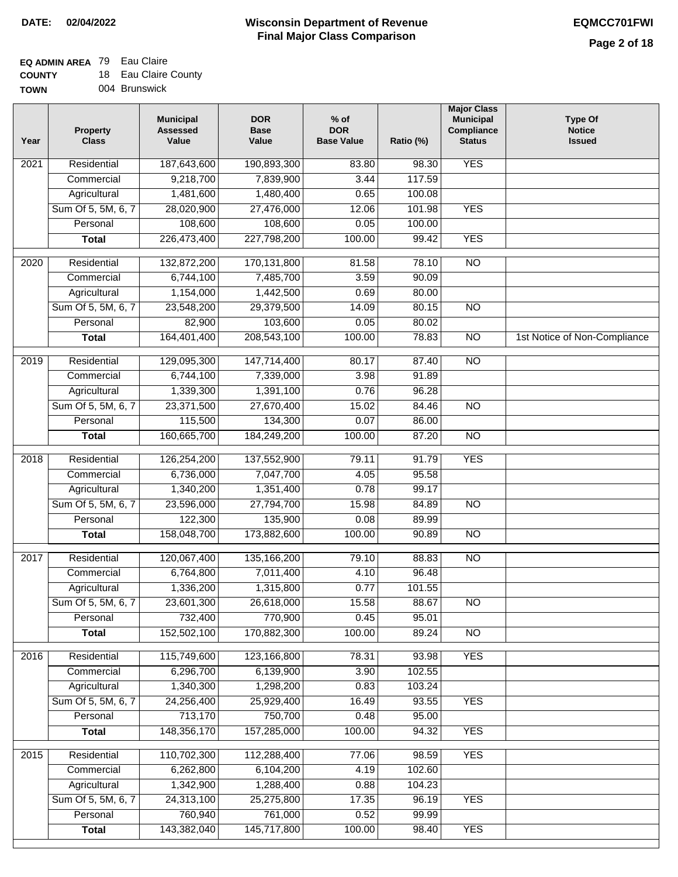#### **EQ ADMIN AREA** 79 Eau Claire **COUNTY**  $10 F<sub>2</sub>$

| <b>COUNTY</b> | 18 Eau Claire County |
|---------------|----------------------|
| <b>TOWN</b>   | 004 Brunswick        |

| Year             | <b>Property</b><br><b>Class</b> | <b>Municipal</b><br><b>Assessed</b><br>Value | <b>DOR</b><br><b>Base</b><br>Value | $%$ of<br><b>DOR</b><br><b>Base Value</b> | Ratio (%) | <b>Major Class</b><br><b>Municipal</b><br>Compliance<br><b>Status</b> | <b>Type Of</b><br><b>Notice</b><br><b>Issued</b> |
|------------------|---------------------------------|----------------------------------------------|------------------------------------|-------------------------------------------|-----------|-----------------------------------------------------------------------|--------------------------------------------------|
| 2021             | Residential                     | 187,643,600                                  | 190,893,300                        | 83.80                                     | 98.30     | <b>YES</b>                                                            |                                                  |
|                  | Commercial                      | 9,218,700                                    | 7,839,900                          | 3.44                                      | 117.59    |                                                                       |                                                  |
|                  | Agricultural                    | 1,481,600                                    | 1,480,400                          | 0.65                                      | 100.08    |                                                                       |                                                  |
|                  | Sum Of 5, 5M, 6, 7              | 28,020,900                                   | 27,476,000                         | 12.06                                     | 101.98    | <b>YES</b>                                                            |                                                  |
|                  | Personal                        | 108,600                                      | 108,600                            | 0.05                                      | 100.00    |                                                                       |                                                  |
|                  | <b>Total</b>                    | 226,473,400                                  | 227,798,200                        | 100.00                                    | 99.42     | <b>YES</b>                                                            |                                                  |
| 2020             | Residential                     | 132,872,200                                  | 170,131,800                        | 81.58                                     | 78.10     | $\overline{10}$                                                       |                                                  |
|                  | Commercial                      | 6,744,100                                    | 7,485,700                          | 3.59                                      | 90.09     |                                                                       |                                                  |
|                  | Agricultural                    | 1,154,000                                    | 1,442,500                          | 0.69                                      | 80.00     |                                                                       |                                                  |
|                  | Sum Of 5, 5M, 6, 7              | 23,548,200                                   | 29,379,500                         | 14.09                                     | 80.15     | $\overline{NO}$                                                       |                                                  |
|                  | Personal                        | 82,900                                       | 103,600                            | 0.05                                      | 80.02     |                                                                       |                                                  |
|                  | <b>Total</b>                    | 164,401,400                                  | 208,543,100                        | 100.00                                    | 78.83     | $\overline{NO}$                                                       | 1st Notice of Non-Compliance                     |
| $\frac{1}{2019}$ | Residential                     | 129,095,300                                  | 147,714,400                        | 80.17                                     | 87.40     | $\overline{NO}$                                                       |                                                  |
|                  | Commercial                      | 6,744,100                                    | 7,339,000                          | 3.98                                      | 91.89     |                                                                       |                                                  |
|                  | Agricultural                    | 1,339,300                                    | 1,391,100                          | 0.76                                      | 96.28     |                                                                       |                                                  |
|                  | Sum Of 5, 5M, 6, 7              | 23,371,500                                   | 27,670,400                         | 15.02                                     | 84.46     | $\overline{NO}$                                                       |                                                  |
|                  | Personal                        | 115,500                                      | 134,300                            | 0.07                                      | 86.00     |                                                                       |                                                  |
|                  | <b>Total</b>                    | 160,665,700                                  | 184,249,200                        | 100.00                                    | 87.20     | $\overline{NO}$                                                       |                                                  |
| 2018             | Residential                     | 126,254,200                                  | 137,552,900                        | 79.11                                     | 91.79     | <b>YES</b>                                                            |                                                  |
|                  | Commercial                      | 6,736,000                                    | 7,047,700                          | 4.05                                      | 95.58     |                                                                       |                                                  |
|                  | Agricultural                    | 1,340,200                                    | 1,351,400                          | 0.78                                      | 99.17     |                                                                       |                                                  |
|                  | Sum Of 5, 5M, 6, 7              | 23,596,000                                   | 27,794,700                         | 15.98                                     | 84.89     | $\overline{10}$                                                       |                                                  |
|                  | Personal                        | 122,300                                      | 135,900                            | 0.08                                      | 89.99     |                                                                       |                                                  |
|                  | <b>Total</b>                    | 158,048,700                                  | 173,882,600                        | 100.00                                    | 90.89     | <b>NO</b>                                                             |                                                  |
| 2017             | Residential                     | 120,067,400                                  | 135, 166, 200                      | 79.10                                     | 88.83     | $\overline{NO}$                                                       |                                                  |
|                  | Commercial                      | 6,764,800                                    | 7,011,400                          | 4.10                                      | 96.48     |                                                                       |                                                  |
|                  | Agricultural                    | 1,336,200                                    | 1,315,800                          | 0.77                                      | 101.55    |                                                                       |                                                  |
|                  | Sum Of 5, 5M, 6, 7              | 23,601,300                                   | 26,618,000                         | 15.58                                     | 88.67     | NO.                                                                   |                                                  |
|                  | Personal                        | 732,400                                      | 770,900                            | 0.45                                      | 95.01     |                                                                       |                                                  |
|                  | <b>Total</b>                    | 152,502,100                                  | 170,882,300                        | 100.00                                    | 89.24     | <b>NO</b>                                                             |                                                  |
| 2016             | Residential                     | 115,749,600                                  | 123,166,800                        | 78.31                                     | 93.98     | <b>YES</b>                                                            |                                                  |
|                  | Commercial                      | 6,296,700                                    | 6,139,900                          | 3.90                                      | 102.55    |                                                                       |                                                  |
|                  | Agricultural                    | 1,340,300                                    | 1,298,200                          | 0.83                                      | 103.24    |                                                                       |                                                  |
|                  | Sum Of 5, 5M, 6, 7              | 24,256,400                                   | 25,929,400                         | 16.49                                     | 93.55     | <b>YES</b>                                                            |                                                  |
|                  | Personal                        | 713,170                                      | 750,700                            | 0.48                                      | 95.00     |                                                                       |                                                  |
|                  | <b>Total</b>                    | 148,356,170                                  | 157,285,000                        | 100.00                                    | 94.32     | <b>YES</b>                                                            |                                                  |
| 2015             | Residential                     | 110,702,300                                  | 112,288,400                        | 77.06                                     | 98.59     | <b>YES</b>                                                            |                                                  |
|                  | Commercial                      | 6,262,800                                    | 6,104,200                          | 4.19                                      | 102.60    |                                                                       |                                                  |
|                  | Agricultural                    | 1,342,900                                    | 1,288,400                          | 0.88                                      | 104.23    |                                                                       |                                                  |
|                  | Sum Of 5, 5M, 6, 7              | 24,313,100                                   | 25,275,800                         | 17.35                                     | 96.19     | <b>YES</b>                                                            |                                                  |
|                  | Personal                        | 760,940                                      | 761,000                            | 0.52                                      | 99.99     |                                                                       |                                                  |
|                  | <b>Total</b>                    | 143,382,040                                  | 145,717,800                        | 100.00                                    | 98.40     | <b>YES</b>                                                            |                                                  |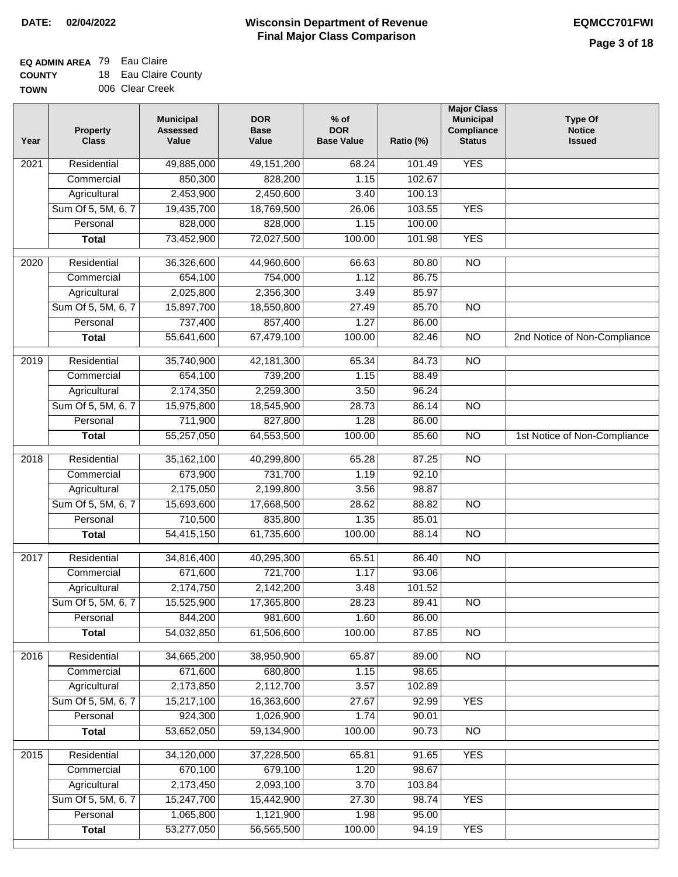## **EQ ADMIN AREA** 79 Eau Claire

| <b>COUNTY</b> | 18 Eau Claire County |
|---------------|----------------------|
| <b>TOWN</b>   | 006 Clear Creek      |

| Year              | Property<br><b>Class</b> | <b>Municipal</b><br><b>Assessed</b><br>Value | <b>DOR</b><br><b>Base</b><br>Value | $%$ of<br><b>DOR</b><br><b>Base Value</b> | Ratio (%) | <b>Major Class</b><br><b>Municipal</b><br>Compliance<br><b>Status</b> | <b>Type Of</b><br><b>Notice</b><br><b>Issued</b> |
|-------------------|--------------------------|----------------------------------------------|------------------------------------|-------------------------------------------|-----------|-----------------------------------------------------------------------|--------------------------------------------------|
| 2021              | Residential              | 49,885,000                                   | 49, 151, 200                       | 68.24                                     | 101.49    | <b>YES</b>                                                            |                                                  |
|                   | Commercial               | 850,300                                      | 828,200                            | 1.15                                      | 102.67    |                                                                       |                                                  |
|                   | Agricultural             | 2,453,900                                    | 2,450,600                          | 3.40                                      | 100.13    |                                                                       |                                                  |
|                   | Sum Of 5, 5M, 6, 7       | 19,435,700                                   | 18,769,500                         | 26.06                                     | 103.55    | <b>YES</b>                                                            |                                                  |
|                   | Personal                 | 828,000                                      | 828,000                            | 1.15                                      | 100.00    |                                                                       |                                                  |
|                   | <b>Total</b>             | 73,452,900                                   | 72,027,500                         | 100.00                                    | 101.98    | <b>YES</b>                                                            |                                                  |
| $\overline{2020}$ | Residential              | 36,326,600                                   | 44,960,600                         | 66.63                                     | 80.80     | $\overline{NO}$                                                       |                                                  |
|                   | Commercial               | 654,100                                      | 754,000                            | 1.12                                      | 86.75     |                                                                       |                                                  |
|                   | Agricultural             | 2,025,800                                    | 2,356,300                          | 3.49                                      | 85.97     |                                                                       |                                                  |
|                   | Sum Of 5, 5M, 6, 7       | 15,897,700                                   | 18,550,800                         | 27.49                                     | 85.70     | $\overline{NO}$                                                       |                                                  |
|                   | Personal                 | 737,400                                      | 857,400                            | 1.27                                      | 86.00     |                                                                       |                                                  |
|                   | <b>Total</b>             | 55,641,600                                   | 67,479,100                         | 100.00                                    | 82.46     | $\overline{NO}$                                                       | 2nd Notice of Non-Compliance                     |
| 2019              | Residential              | 35,740,900                                   | 42,181,300                         | 65.34                                     | 84.73     | NO                                                                    |                                                  |
|                   | Commercial               | 654,100                                      | 739,200                            | 1.15                                      | 88.49     |                                                                       |                                                  |
|                   | Agricultural             | 2,174,350                                    | 2,259,300                          | 3.50                                      | 96.24     |                                                                       |                                                  |
|                   | Sum Of 5, 5M, 6, 7       | 15,975,800                                   | 18,545,900                         | 28.73                                     | 86.14     | $\overline{NO}$                                                       |                                                  |
|                   | Personal                 | 711,900                                      | 827,800                            | 1.28                                      | 86.00     |                                                                       |                                                  |
|                   | <b>Total</b>             | 55,257,050                                   | 64,553,500                         | 100.00                                    | 85.60     | $\overline{NO}$                                                       | 1st Notice of Non-Compliance                     |
| 2018              | Residential              | 35, 162, 100                                 | 40,299,800                         | 65.28                                     | 87.25     | $\overline{NO}$                                                       |                                                  |
|                   | Commercial               | 673,900                                      | 731,700                            | 1.19                                      | 92.10     |                                                                       |                                                  |
|                   | Agricultural             | 2,175,050                                    | 2,199,800                          | 3.56                                      | 98.87     |                                                                       |                                                  |
|                   | Sum Of 5, 5M, 6, 7       | 15,693,600                                   | 17,668,500                         | 28.62                                     | 88.82     | NO                                                                    |                                                  |
|                   | Personal                 | 710,500                                      | 835,800                            | 1.35                                      | 85.01     |                                                                       |                                                  |
|                   | <b>Total</b>             | 54,415,150                                   | 61,735,600                         | 100.00                                    | 88.14     | <b>NO</b>                                                             |                                                  |
| 2017              | Residential              | 34,816,400                                   | 40,295,300                         | 65.51                                     | 86.40     | <b>NO</b>                                                             |                                                  |
|                   | Commercial               | 671,600                                      | 721,700                            | 1.17                                      | 93.06     |                                                                       |                                                  |
|                   | Agricultural             | 2,174,750                                    | 2,142,200                          | 3.48                                      | 101.52    |                                                                       |                                                  |
|                   | Sum Of 5, 5M, 6, 7       | 15,525,900                                   | 17,365,800                         | 28.23                                     | 89.41     | N <sub>O</sub>                                                        |                                                  |
|                   | Personal                 | 844,200                                      | 981,600                            | 1.60                                      | 86.00     |                                                                       |                                                  |
|                   | <b>Total</b>             | 54,032,850                                   | 61,506,600                         | 100.00                                    | 87.85     | <b>NO</b>                                                             |                                                  |
| 2016              | Residential              | 34,665,200                                   | 38,950,900                         | 65.87                                     | 89.00     | $\overline{NO}$                                                       |                                                  |
|                   | Commercial               | 671,600                                      | 680,800                            | 1.15                                      | 98.65     |                                                                       |                                                  |
|                   | Agricultural             | 2,173,850                                    | 2,112,700                          | 3.57                                      | 102.89    |                                                                       |                                                  |
|                   | Sum Of 5, 5M, 6, 7       | 15,217,100                                   | 16,363,600                         | 27.67                                     | 92.99     | <b>YES</b>                                                            |                                                  |
|                   | Personal                 | 924,300                                      | 1,026,900                          | 1.74                                      | 90.01     |                                                                       |                                                  |
|                   | <b>Total</b>             | 53,652,050                                   | 59,134,900                         | 100.00                                    | 90.73     | N <sub>O</sub>                                                        |                                                  |
| 2015              | Residential              | 34,120,000                                   | 37,228,500                         | 65.81                                     | 91.65     | <b>YES</b>                                                            |                                                  |
|                   | Commercial               | 670,100                                      | 679,100                            | 1.20                                      | 98.67     |                                                                       |                                                  |
|                   | Agricultural             | 2,173,450                                    | 2,093,100                          | 3.70                                      | 103.84    |                                                                       |                                                  |
|                   | Sum Of 5, 5M, 6, 7       | 15,247,700                                   | 15,442,900                         | 27.30                                     | 98.74     | <b>YES</b>                                                            |                                                  |
|                   | Personal                 | 1,065,800                                    | 1,121,900                          | 1.98                                      | 95.00     |                                                                       |                                                  |
|                   | <b>Total</b>             | 53,277,050                                   | 56,565,500                         | 100.00                                    | 94.19     | <b>YES</b>                                                            |                                                  |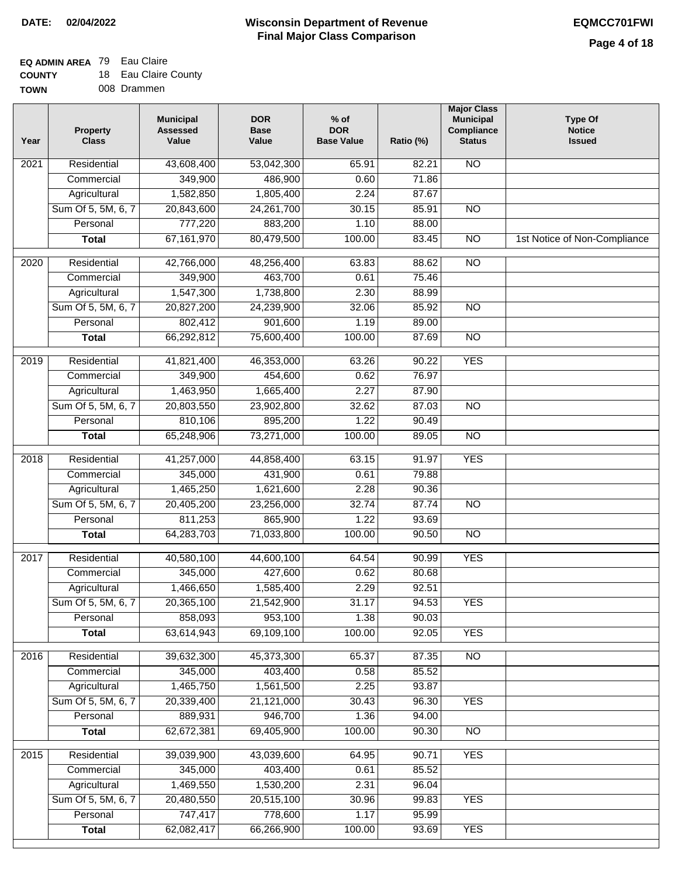### **EQ ADMIN AREA** 79 Eau Claire

| <b>COUNTY</b> |  | 18 Eau Claire County |
|---------------|--|----------------------|
|---------------|--|----------------------|

| Year             | <b>Property</b><br><b>Class</b> | <b>Municipal</b><br><b>Assessed</b><br>Value | <b>DOR</b><br><b>Base</b><br>Value | $%$ of<br><b>DOR</b><br><b>Base Value</b> | Ratio (%) | <b>Major Class</b><br><b>Municipal</b><br>Compliance<br><b>Status</b> | <b>Type Of</b><br><b>Notice</b><br><b>Issued</b> |
|------------------|---------------------------------|----------------------------------------------|------------------------------------|-------------------------------------------|-----------|-----------------------------------------------------------------------|--------------------------------------------------|
| 2021             | Residential                     | 43,608,400                                   | 53,042,300                         | 65.91                                     | 82.21     | $\overline{NO}$                                                       |                                                  |
|                  | Commercial                      | 349,900                                      | 486,900                            | 0.60                                      | 71.86     |                                                                       |                                                  |
|                  | Agricultural                    | 1,582,850                                    | 1,805,400                          | 2.24                                      | 87.67     |                                                                       |                                                  |
|                  | Sum Of 5, 5M, 6, 7              | 20,843,600                                   | 24, 261, 700                       | 30.15                                     | 85.91     | $\overline{NO}$                                                       |                                                  |
|                  | Personal                        | 777,220                                      | 883,200                            | 1.10                                      | 88.00     |                                                                       |                                                  |
|                  | <b>Total</b>                    | 67,161,970                                   | 80,479,500                         | 100.00                                    | 83.45     | $\overline{NO}$                                                       | 1st Notice of Non-Compliance                     |
| $\frac{1}{2020}$ | Residential                     | 42,766,000                                   | 48,256,400                         | 63.83                                     | 88.62     | $\overline{NO}$                                                       |                                                  |
|                  | Commercial                      | 349,900                                      | 463,700                            | 0.61                                      | 75.46     |                                                                       |                                                  |
|                  | Agricultural                    | 1,547,300                                    | 1,738,800                          | 2.30                                      | 88.99     |                                                                       |                                                  |
|                  | Sum Of 5, 5M, 6, 7              | 20,827,200                                   | 24,239,900                         | 32.06                                     | 85.92     | <b>NO</b>                                                             |                                                  |
|                  | Personal                        | 802,412                                      | 901,600                            | 1.19                                      | 89.00     |                                                                       |                                                  |
|                  | <b>Total</b>                    | 66,292,812                                   | 75,600,400                         | 100.00                                    | 87.69     | $\overline{NO}$                                                       |                                                  |
|                  |                                 |                                              |                                    |                                           |           |                                                                       |                                                  |
| $\frac{1}{2019}$ | Residential                     | 41,821,400                                   | 46,353,000                         | 63.26                                     | 90.22     | <b>YES</b>                                                            |                                                  |
|                  | Commercial                      | 349,900                                      | 454,600                            | 0.62                                      | 76.97     |                                                                       |                                                  |
|                  | Agricultural                    | 1,463,950                                    | 1,665,400                          | 2.27                                      | 87.90     |                                                                       |                                                  |
|                  | Sum Of 5, 5M, 6, 7              | 20,803,550                                   | 23,902,800                         | 32.62                                     | 87.03     | $\overline{NO}$                                                       |                                                  |
|                  | Personal                        | 810,106                                      | 895,200                            | 1.22                                      | 90.49     |                                                                       |                                                  |
|                  | <b>Total</b>                    | 65,248,906                                   | 73,271,000                         | 100.00                                    | 89.05     | $\overline{NO}$                                                       |                                                  |
| 2018             | Residential                     | 41,257,000                                   | 44,858,400                         | 63.15                                     | 91.97     | <b>YES</b>                                                            |                                                  |
|                  | Commercial                      | 345,000                                      | 431,900                            | 0.61                                      | 79.88     |                                                                       |                                                  |
|                  | Agricultural                    | 1,465,250                                    | 1,621,600                          | 2.28                                      | 90.36     |                                                                       |                                                  |
|                  | Sum Of 5, 5M, 6, 7              | 20,405,200                                   | 23,256,000                         | 32.74                                     | 87.74     | <b>NO</b>                                                             |                                                  |
|                  | Personal                        | 811,253                                      | 865,900                            | 1.22                                      | 93.69     |                                                                       |                                                  |
|                  | <b>Total</b>                    | 64,283,703                                   | 71,033,800                         | 100.00                                    | 90.50     | N <sub>O</sub>                                                        |                                                  |
| 2017             | Residential                     | 40,580,100                                   | 44,600,100                         | 64.54                                     | 90.99     | <b>YES</b>                                                            |                                                  |
|                  | Commercial                      | 345,000                                      | 427,600                            | 0.62                                      | 80.68     |                                                                       |                                                  |
|                  | Agricultural                    | 1,466,650                                    | 1,585,400                          | 2.29                                      | 92.51     |                                                                       |                                                  |
|                  | Sum Of 5, 5M, 6, 7              | 20,365,100                                   | 21,542,900                         | 31.17                                     | 94.53     | <b>YES</b>                                                            |                                                  |
|                  | Personal                        | 858,093                                      | 953,100                            | 1.38                                      | 90.03     |                                                                       |                                                  |
|                  | <b>Total</b>                    | 63,614,943                                   | 69,109,100                         | 100.00                                    | 92.05     | <b>YES</b>                                                            |                                                  |
| 2016             | Residential                     | 39,632,300                                   | 45,373,300                         | 65.37                                     | 87.35     | N <sub>O</sub>                                                        |                                                  |
|                  | Commercial                      | 345,000                                      | 403,400                            | 0.58                                      | 85.52     |                                                                       |                                                  |
|                  | Agricultural                    | 1,465,750                                    | 1,561,500                          | 2.25                                      | 93.87     |                                                                       |                                                  |
|                  | Sum Of 5, 5M, 6, 7              | 20,339,400                                   | 21,121,000                         | 30.43                                     | 96.30     | <b>YES</b>                                                            |                                                  |
|                  | Personal                        | 889,931                                      | 946,700                            | 1.36                                      | 94.00     |                                                                       |                                                  |
|                  | <b>Total</b>                    | 62,672,381                                   | 69,405,900                         | 100.00                                    | 90.30     | $\overline{NO}$                                                       |                                                  |
| 2015             | Residential                     | 39,039,900                                   | 43,039,600                         | 64.95                                     | 90.71     | <b>YES</b>                                                            |                                                  |
|                  | Commercial                      | 345,000                                      | 403,400                            | 0.61                                      | 85.52     |                                                                       |                                                  |
|                  | Agricultural                    | 1,469,550                                    | 1,530,200                          | 2.31                                      | 96.04     |                                                                       |                                                  |
|                  | Sum Of 5, 5M, 6, 7              | 20,480,550                                   | 20,515,100                         | 30.96                                     | 99.83     | <b>YES</b>                                                            |                                                  |
|                  | Personal                        | 747,417                                      | 778,600                            | 1.17                                      | 95.99     |                                                                       |                                                  |
|                  | <b>Total</b>                    | 62,082,417                                   | 66,266,900                         | 100.00                                    | 93.69     | <b>YES</b>                                                            |                                                  |
|                  |                                 |                                              |                                    |                                           |           |                                                                       |                                                  |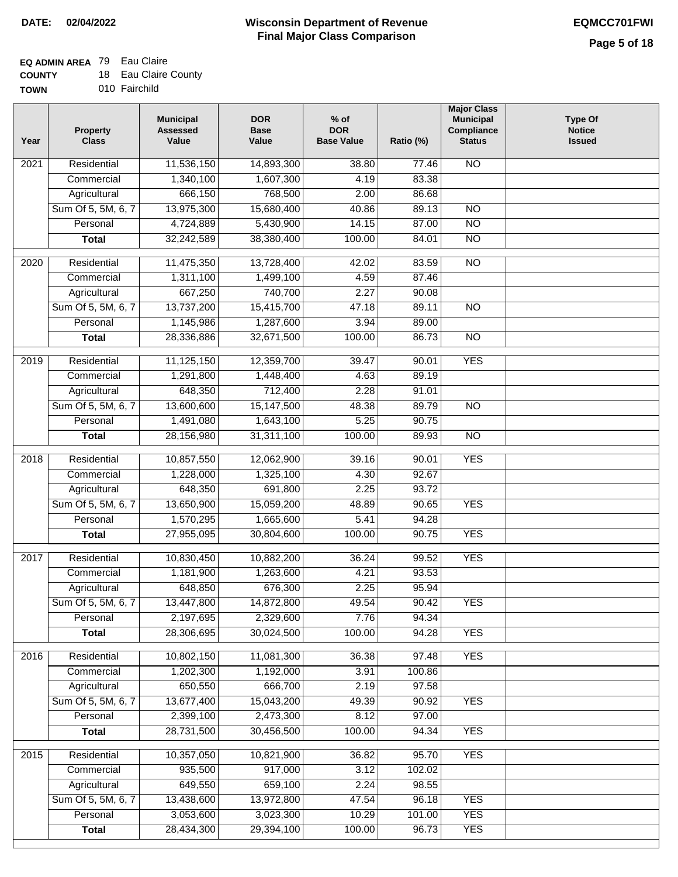## **EQ ADMIN AREA** 79 Eau Claire

| <b>COUNTY</b> | 18 Eau Claire County |
|---------------|----------------------|
|---------------|----------------------|

**TOWN** 010 Fairchild

| Year              | <b>Property</b><br><b>Class</b> | <b>Municipal</b><br><b>Assessed</b><br>Value | <b>DOR</b><br><b>Base</b><br>Value | % of<br><b>DOR</b><br><b>Base Value</b> | Ratio (%) | <b>Major Class</b><br><b>Municipal</b><br>Compliance<br><b>Status</b> | <b>Type Of</b><br><b>Notice</b><br><b>Issued</b> |
|-------------------|---------------------------------|----------------------------------------------|------------------------------------|-----------------------------------------|-----------|-----------------------------------------------------------------------|--------------------------------------------------|
| $\overline{202}1$ | Residential                     | 11,536,150                                   | 14,893,300                         | 38.80                                   | 77.46     | <b>NO</b>                                                             |                                                  |
|                   | Commercial                      | 1,340,100                                    | 1,607,300                          | 4.19                                    | 83.38     |                                                                       |                                                  |
|                   | Agricultural                    | 666,150                                      | 768,500                            | 2.00                                    | 86.68     |                                                                       |                                                  |
|                   | Sum Of 5, 5M, 6, 7              | 13,975,300                                   | 15,680,400                         | 40.86                                   | 89.13     | $\overline{NO}$                                                       |                                                  |
|                   | Personal                        | 4,724,889                                    | 5,430,900                          | 14.15                                   | 87.00     | $\overline{NO}$                                                       |                                                  |
|                   | <b>Total</b>                    | 32,242,589                                   | 38,380,400                         | 100.00                                  | 84.01     | $\overline{NO}$                                                       |                                                  |
| $\overline{2020}$ | Residential                     | 11,475,350                                   | 13,728,400                         | 42.02                                   | 83.59     | $\overline{NO}$                                                       |                                                  |
|                   | Commercial                      | 1,311,100                                    | 1,499,100                          | 4.59                                    | 87.46     |                                                                       |                                                  |
|                   | Agricultural                    | 667,250                                      | 740,700                            | 2.27                                    | 90.08     |                                                                       |                                                  |
|                   | Sum Of 5, 5M, 6, 7              | 13,737,200                                   | 15,415,700                         | 47.18                                   | 89.11     | $\overline{NO}$                                                       |                                                  |
|                   | Personal                        | 1,145,986                                    | 1,287,600                          | 3.94                                    | 89.00     |                                                                       |                                                  |
|                   | <b>Total</b>                    | 28,336,886                                   | 32,671,500                         | 100.00                                  | 86.73     | $\overline{NO}$                                                       |                                                  |
| $\frac{2019}{ }$  | Residential                     | 11,125,150                                   | 12,359,700                         | 39.47                                   | 90.01     | <b>YES</b>                                                            |                                                  |
|                   | Commercial                      | 1,291,800                                    | 1,448,400                          | 4.63                                    | 89.19     |                                                                       |                                                  |
|                   | Agricultural                    | 648,350                                      | 712,400                            | 2.28                                    | 91.01     |                                                                       |                                                  |
|                   | Sum Of 5, 5M, 6, 7              | 13,600,600                                   | 15,147,500                         | 48.38                                   | 89.79     | $\overline{NO}$                                                       |                                                  |
|                   | Personal                        | 1,491,080                                    | 1,643,100                          | 5.25                                    | 90.75     |                                                                       |                                                  |
|                   | <b>Total</b>                    | 28,156,980                                   | 31,311,100                         | 100.00                                  | 89.93     | $\overline{NO}$                                                       |                                                  |
| 2018              | Residential                     | 10,857,550                                   | 12,062,900                         | 39.16                                   | 90.01     | <b>YES</b>                                                            |                                                  |
|                   | Commercial                      | 1,228,000                                    | 1,325,100                          | 4.30                                    | 92.67     |                                                                       |                                                  |
|                   | Agricultural                    | 648,350                                      | 691,800                            | 2.25                                    | 93.72     |                                                                       |                                                  |
|                   | Sum Of 5, 5M, 6, 7              | 13,650,900                                   | 15,059,200                         | 48.89                                   | 90.65     | <b>YES</b>                                                            |                                                  |
|                   | Personal                        | 1,570,295                                    | 1,665,600                          | 5.41                                    | 94.28     |                                                                       |                                                  |
|                   | <b>Total</b>                    | 27,955,095                                   | 30,804,600                         | 100.00                                  | 90.75     | <b>YES</b>                                                            |                                                  |
| $\overline{2017}$ | Residential                     | 10,830,450                                   | 10,882,200                         | 36.24                                   | 99.52     | <b>YES</b>                                                            |                                                  |
|                   | Commercial                      | 1,181,900                                    | 1,263,600                          | 4.21                                    | 93.53     |                                                                       |                                                  |
|                   | Agricultural                    | 648,850                                      | 676,300                            | 2.25                                    | 95.94     |                                                                       |                                                  |
|                   | Sum Of 5, 5M, 6, 7              | 13,447,800                                   | 14,872,800                         | 49.54                                   | 90.42     | <b>YES</b>                                                            |                                                  |
|                   | Personal                        | 2,197,695                                    | 2,329,600                          | 7.76                                    | 94.34     |                                                                       |                                                  |
|                   | <b>Total</b>                    | 28,306,695                                   | 30,024,500                         | 100.00                                  | 94.28     | <b>YES</b>                                                            |                                                  |
| 2016              | Residential                     | 10,802,150                                   | 11,081,300                         | 36.38                                   | 97.48     | <b>YES</b>                                                            |                                                  |
|                   | Commercial                      | 1,202,300                                    | 1,192,000                          | 3.91                                    | 100.86    |                                                                       |                                                  |
|                   | Agricultural                    | 650,550                                      | 666,700                            | 2.19                                    | 97.58     |                                                                       |                                                  |
|                   | Sum Of 5, 5M, 6, 7              | 13,677,400                                   | 15,043,200                         | 49.39                                   | 90.92     | <b>YES</b>                                                            |                                                  |
|                   | Personal                        | 2,399,100                                    | 2,473,300                          | 8.12                                    | 97.00     |                                                                       |                                                  |
|                   | <b>Total</b>                    | 28,731,500                                   | 30,456,500                         | 100.00                                  | 94.34     | <b>YES</b>                                                            |                                                  |
| 2015              | Residential                     | 10,357,050                                   | 10,821,900                         | 36.82                                   | 95.70     | <b>YES</b>                                                            |                                                  |
|                   | Commercial                      | 935,500                                      | 917,000                            | 3.12                                    | 102.02    |                                                                       |                                                  |
|                   | Agricultural                    | 649,550                                      | 659,100                            | 2.24                                    | 98.55     |                                                                       |                                                  |
|                   | Sum Of 5, 5M, 6, 7              | 13,438,600                                   | 13,972,800                         | 47.54                                   | 96.18     | <b>YES</b>                                                            |                                                  |
|                   | Personal                        | 3,053,600                                    | 3,023,300                          | 10.29                                   | 101.00    | <b>YES</b>                                                            |                                                  |
|                   | <b>Total</b>                    | 28,434,300                                   | 29,394,100                         | 100.00                                  | 96.73     | <b>YES</b>                                                            |                                                  |
|                   |                                 |                                              |                                    |                                         |           |                                                                       |                                                  |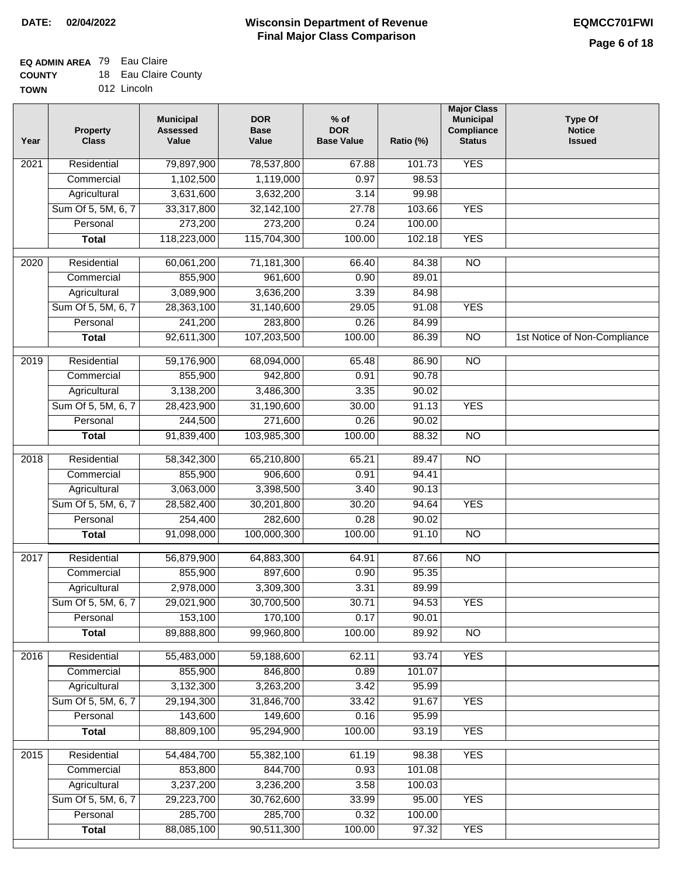### **EQ ADMIN AREA** 79 Eau Claire

| <b>COUNTY</b> |  | 18 Eau Claire County |  |
|---------------|--|----------------------|--|
|---------------|--|----------------------|--|

**TOWN** 012 Lincoln

| Year              | <b>Property</b><br><b>Class</b> | <b>Municipal</b><br><b>Assessed</b><br>Value | <b>DOR</b><br><b>Base</b><br>Value | $%$ of<br><b>DOR</b><br><b>Base Value</b> | Ratio (%) | <b>Major Class</b><br><b>Municipal</b><br>Compliance<br><b>Status</b> | <b>Type Of</b><br><b>Notice</b><br><b>Issued</b> |
|-------------------|---------------------------------|----------------------------------------------|------------------------------------|-------------------------------------------|-----------|-----------------------------------------------------------------------|--------------------------------------------------|
| 2021              | Residential                     | 79,897,900                                   | 78,537,800                         | 67.88                                     | 101.73    | <b>YES</b>                                                            |                                                  |
|                   | Commercial                      | 1,102,500                                    | 1,119,000                          | 0.97                                      | 98.53     |                                                                       |                                                  |
|                   | Agricultural                    | 3,631,600                                    | 3,632,200                          | 3.14                                      | 99.98     |                                                                       |                                                  |
|                   | Sum Of 5, 5M, 6, 7              | 33,317,800                                   | 32, 142, 100                       | 27.78                                     | 103.66    | <b>YES</b>                                                            |                                                  |
|                   | Personal                        | 273,200                                      | 273,200                            | 0.24                                      | 100.00    |                                                                       |                                                  |
|                   | <b>Total</b>                    | 118,223,000                                  | 115,704,300                        | 100.00                                    | 102.18    | <b>YES</b>                                                            |                                                  |
| 2020              | Residential                     | 60,061,200                                   | 71,181,300                         | 66.40                                     | 84.38     | $\overline{NO}$                                                       |                                                  |
|                   | Commercial                      | 855,900                                      | 961,600                            | 0.90                                      | 89.01     |                                                                       |                                                  |
|                   | Agricultural                    | 3,089,900                                    | 3,636,200                          | 3.39                                      | 84.98     |                                                                       |                                                  |
|                   | Sum Of 5, 5M, 6, 7              | 28,363,100                                   | 31,140,600                         | 29.05                                     | 91.08     | <b>YES</b>                                                            |                                                  |
|                   | Personal                        | 241,200                                      | 283,800                            | 0.26                                      | 84.99     |                                                                       |                                                  |
|                   | <b>Total</b>                    | 92,611,300                                   | 107,203,500                        | 100.00                                    | 86.39     | $\overline{NO}$                                                       | 1st Notice of Non-Compliance                     |
|                   |                                 |                                              |                                    |                                           |           |                                                                       |                                                  |
| 2019              | Residential                     | 59,176,900                                   | 68,094,000                         | 65.48                                     | 86.90     | $\overline{10}$                                                       |                                                  |
|                   | Commercial                      | 855,900                                      | 942,800                            | 0.91                                      | 90.78     |                                                                       |                                                  |
|                   | Agricultural                    | 3,138,200                                    | 3,486,300                          | 3.35                                      | 90.02     |                                                                       |                                                  |
|                   | Sum Of 5, 5M, 6, 7              | 28,423,900                                   | 31,190,600                         | 30.00                                     | 91.13     | <b>YES</b>                                                            |                                                  |
|                   | Personal                        | 244,500                                      | 271,600                            | 0.26                                      | 90.02     |                                                                       |                                                  |
|                   | <b>Total</b>                    | 91,839,400                                   | 103,985,300                        | 100.00                                    | 88.32     | <b>NO</b>                                                             |                                                  |
| $\overline{2018}$ | Residential                     | 58,342,300                                   | 65,210,800                         | 65.21                                     | 89.47     | $\overline{10}$                                                       |                                                  |
|                   | Commercial                      | 855,900                                      | 906,600                            | 0.91                                      | 94.41     |                                                                       |                                                  |
|                   | Agricultural                    | 3,063,000                                    | 3,398,500                          | 3.40                                      | 90.13     |                                                                       |                                                  |
|                   | Sum Of 5, 5M, 6, 7              | 28,582,400                                   | 30,201,800                         | 30.20                                     | 94.64     | <b>YES</b>                                                            |                                                  |
|                   | Personal                        | 254,400                                      | 282,600                            | 0.28                                      | 90.02     |                                                                       |                                                  |
|                   | <b>Total</b>                    | 91,098,000                                   | 100,000,300                        | 100.00                                    | 91.10     | <b>NO</b>                                                             |                                                  |
| 2017              | Residential                     | 56,879,900                                   | 64,883,300                         | 64.91                                     | 87.66     | $\overline{NO}$                                                       |                                                  |
|                   | Commercial                      | 855,900                                      | 897,600                            | 0.90                                      | 95.35     |                                                                       |                                                  |
|                   | Agricultural                    | 2,978,000                                    | 3,309,300                          | 3.31                                      | 89.99     |                                                                       |                                                  |
|                   | Sum Of 5, 5M, 6, 7              | 29,021,900                                   | 30,700,500                         | 30.71                                     | 94.53     | <b>YES</b>                                                            |                                                  |
|                   | Personal                        | 153,100                                      | 170,100                            | 0.17                                      | 90.01     |                                                                       |                                                  |
|                   | <b>Total</b>                    | 89,888,800                                   | 99,960,800                         | 100.00                                    | 89.92     | $\overline{NO}$                                                       |                                                  |
| 2016              |                                 |                                              |                                    |                                           | 93.74     | <b>YES</b>                                                            |                                                  |
|                   | Residential<br>Commercial       | 55,483,000<br>855,900                        | 59,188,600<br>846,800              | 62.11<br>0.89                             | 101.07    |                                                                       |                                                  |
|                   | Agricultural                    | 3,132,300                                    | 3,263,200                          | 3.42                                      | 95.99     |                                                                       |                                                  |
|                   | Sum Of 5, 5M, 6, 7              | 29,194,300                                   | 31,846,700                         | 33.42                                     | 91.67     | <b>YES</b>                                                            |                                                  |
|                   | Personal                        | 143,600                                      | 149,600                            | 0.16                                      | 95.99     |                                                                       |                                                  |
|                   | <b>Total</b>                    | 88,809,100                                   | 95,294,900                         | 100.00                                    | 93.19     | <b>YES</b>                                                            |                                                  |
|                   |                                 |                                              |                                    |                                           |           |                                                                       |                                                  |
| 2015              | Residential                     | 54,484,700                                   | 55,382,100                         | 61.19                                     | 98.38     | <b>YES</b>                                                            |                                                  |
|                   | Commercial                      | 853,800                                      | 844,700                            | 0.93                                      | 101.08    |                                                                       |                                                  |
|                   | Agricultural                    | 3,237,200                                    | 3,236,200                          | 3.58                                      | 100.03    |                                                                       |                                                  |
|                   | Sum Of 5, 5M, 6, 7              | 29,223,700                                   | 30,762,600                         | 33.99                                     | 95.00     | <b>YES</b>                                                            |                                                  |
|                   | Personal                        | 285,700                                      | 285,700                            | 0.32                                      | 100.00    |                                                                       |                                                  |
|                   | <b>Total</b>                    | 88,085,100                                   | 90,511,300                         | 100.00                                    | 97.32     | <b>YES</b>                                                            |                                                  |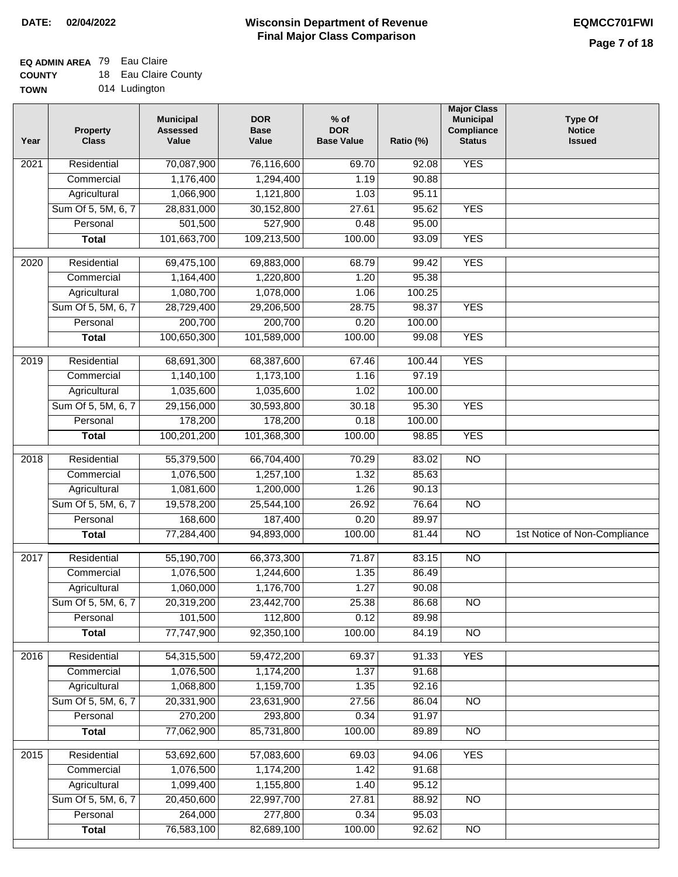### **EQ ADMIN AREA** 79 Eau Claire

| <b>COUNTY</b> | 18 Eau Claire County |
|---------------|----------------------|
| <b>TOWN</b>   | 014 Ludington        |

014 Ludington

| Year              | <b>Property</b><br><b>Class</b> | <b>Municipal</b><br><b>Assessed</b><br>Value | <b>DOR</b><br><b>Base</b><br>Value | $%$ of<br><b>DOR</b><br><b>Base Value</b> | Ratio (%)       | <b>Major Class</b><br><b>Municipal</b><br>Compliance<br><b>Status</b> | <b>Type Of</b><br><b>Notice</b><br><b>Issued</b> |
|-------------------|---------------------------------|----------------------------------------------|------------------------------------|-------------------------------------------|-----------------|-----------------------------------------------------------------------|--------------------------------------------------|
| $\overline{202}1$ | Residential                     | 70,087,900                                   | 76,116,600                         | 69.70                                     | 92.08           | <b>YES</b>                                                            |                                                  |
|                   | Commercial                      | 1,176,400                                    | 1,294,400                          | 1.19                                      | 90.88           |                                                                       |                                                  |
|                   | Agricultural                    | 1,066,900                                    | 1,121,800                          | 1.03                                      | 95.11           |                                                                       |                                                  |
|                   | Sum Of 5, 5M, 6, 7              | 28,831,000                                   | 30,152,800                         | 27.61                                     | 95.62           | <b>YES</b>                                                            |                                                  |
|                   | Personal                        | 501,500                                      | 527,900                            | 0.48                                      | 95.00           |                                                                       |                                                  |
|                   | <b>Total</b>                    | 101,663,700                                  | 109,213,500                        | 100.00                                    | 93.09           | <b>YES</b>                                                            |                                                  |
| $\overline{2020}$ | Residential                     | 69,475,100                                   | 69,883,000                         | 68.79                                     | 99.42           | <b>YES</b>                                                            |                                                  |
|                   | Commercial                      | 1,164,400                                    | 1,220,800                          | 1.20                                      | 95.38           |                                                                       |                                                  |
|                   | Agricultural                    | 1,080,700                                    | 1,078,000                          | 1.06                                      | 100.25          |                                                                       |                                                  |
|                   | Sum Of 5, 5M, 6, 7              | 28,729,400                                   | 29,206,500                         | 28.75                                     | 98.37           | <b>YES</b>                                                            |                                                  |
|                   | Personal                        | 200,700                                      | 200,700                            | 0.20                                      | 100.00          |                                                                       |                                                  |
|                   | <b>Total</b>                    | 100,650,300                                  | 101,589,000                        | 100.00                                    | 99.08           | <b>YES</b>                                                            |                                                  |
|                   |                                 |                                              |                                    |                                           | 100.44          |                                                                       |                                                  |
| 2019              | Residential<br>Commercial       | 68,691,300                                   | 68,387,600                         | 67.46                                     |                 | <b>YES</b>                                                            |                                                  |
|                   |                                 | 1,140,100                                    | 1,173,100                          | 1.16                                      | 97.19           |                                                                       |                                                  |
|                   | Agricultural                    | 1,035,600                                    | 1,035,600                          | 1.02<br>30.18                             | 100.00<br>95.30 | <b>YES</b>                                                            |                                                  |
|                   | Sum Of 5, 5M, 6, 7<br>Personal  | 29,156,000<br>178,200                        | 30,593,800<br>178,200              | 0.18                                      | 100.00          |                                                                       |                                                  |
|                   |                                 |                                              |                                    |                                           |                 | <b>YES</b>                                                            |                                                  |
|                   | <b>Total</b>                    | 100,201,200                                  | 101,368,300                        | 100.00                                    | 98.85           |                                                                       |                                                  |
| 2018              | Residential                     | 55,379,500                                   | 66,704,400                         | 70.29                                     | 83.02           | $\overline{10}$                                                       |                                                  |
|                   | Commercial                      | 1,076,500                                    | 1,257,100                          | 1.32                                      | 85.63           |                                                                       |                                                  |
|                   | Agricultural                    | 1,081,600                                    | 1,200,000                          | 1.26                                      | 90.13           |                                                                       |                                                  |
|                   | Sum Of 5, 5M, 6, 7              | 19,578,200                                   | 25,544,100                         | 26.92                                     | 76.64           | $\overline{3}$                                                        |                                                  |
|                   | Personal                        | 168,600                                      | 187,400                            | 0.20                                      | 89.97           |                                                                       |                                                  |
|                   | <b>Total</b>                    | 77,284,400                                   | 94,893,000                         | 100.00                                    | 81.44           | $\overline{10}$                                                       | 1st Notice of Non-Compliance                     |
| 2017              | Residential                     | 55,190,700                                   | 66,373,300                         | 71.87                                     | 83.15           | <b>NO</b>                                                             |                                                  |
|                   | Commercial                      | 1,076,500                                    | 1,244,600                          | 1.35                                      | 86.49           |                                                                       |                                                  |
|                   | Agricultural                    | 1,060,000                                    | 1,176,700                          | 1.27                                      | 90.08           |                                                                       |                                                  |
|                   | Sum Of 5, 5M, 6, 7              | 20,319,200                                   | 23,442,700                         | 25.38                                     | 86.68           | <b>NO</b>                                                             |                                                  |
|                   | Personal                        | 101,500                                      | 112,800                            | 0.12                                      | 89.98           |                                                                       |                                                  |
|                   | <b>Total</b>                    | 77,747,900                                   | 92,350,100                         | 100.00                                    | 84.19           | <b>NO</b>                                                             |                                                  |
| 2016              | Residential                     | 54,315,500                                   | 59,472,200                         | 69.37                                     | 91.33           | <b>YES</b>                                                            |                                                  |
|                   | Commercial                      | 1,076,500                                    | 1,174,200                          | 1.37                                      | 91.68           |                                                                       |                                                  |
|                   | Agricultural                    | 1,068,800                                    | 1,159,700                          | 1.35                                      | 92.16           |                                                                       |                                                  |
|                   | Sum Of 5, 5M, 6, 7              | 20,331,900                                   | 23,631,900                         | 27.56                                     | 86.04           | $\overline{NO}$                                                       |                                                  |
|                   | Personal                        | 270,200                                      | 293,800                            | 0.34                                      | 91.97           |                                                                       |                                                  |
|                   | <b>Total</b>                    | 77,062,900                                   | 85,731,800                         | 100.00                                    | 89.89           | $\overline{NO}$                                                       |                                                  |
| 2015              | Residential                     | 53,692,600                                   | 57,083,600                         | 69.03                                     | 94.06           | <b>YES</b>                                                            |                                                  |
|                   | Commercial                      | 1,076,500                                    | 1,174,200                          | 1.42                                      | 91.68           |                                                                       |                                                  |
|                   | Agricultural                    | 1,099,400                                    | 1,155,800                          | 1.40                                      | 95.12           |                                                                       |                                                  |
|                   | Sum Of 5, 5M, 6, 7              | 20,450,600                                   | 22,997,700                         | 27.81                                     | 88.92           | <b>NO</b>                                                             |                                                  |
|                   | Personal                        | 264,000                                      | 277,800                            | 0.34                                      | 95.03           |                                                                       |                                                  |
|                   | <b>Total</b>                    | 76,583,100                                   | 82,689,100                         | 100.00                                    | 92.62           | <b>NO</b>                                                             |                                                  |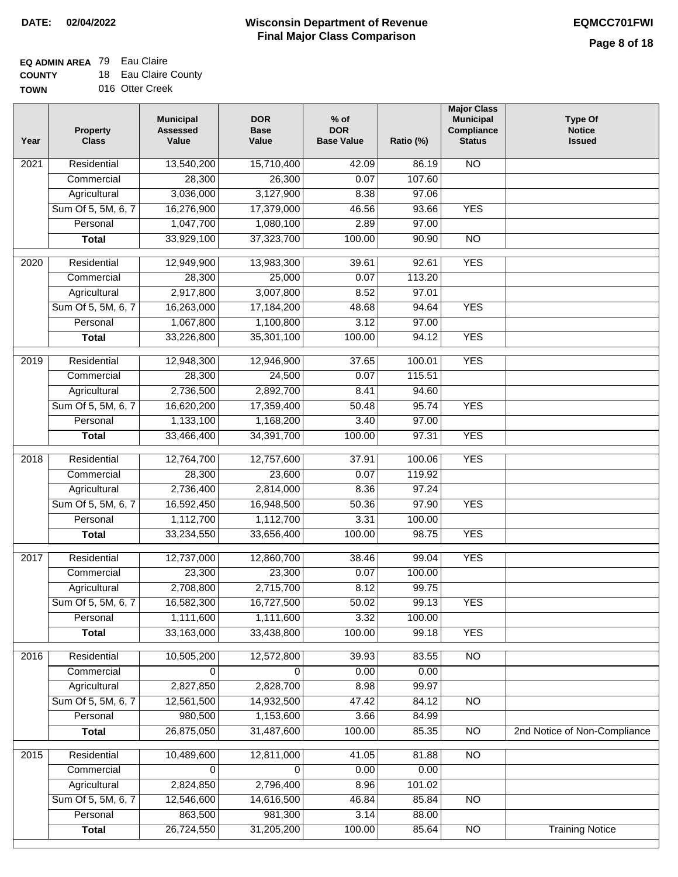### **EQ ADMIN AREA** 79 Eau Claire

**COUNTY TOWN** 18 Eau Claire County

016 Otter Creek

| Year | <b>Property</b><br><b>Class</b> | <b>Municipal</b><br><b>Assessed</b><br>Value | <b>DOR</b><br><b>Base</b><br>Value | $%$ of<br><b>DOR</b><br><b>Base Value</b> | Ratio (%) | <b>Major Class</b><br><b>Municipal</b><br>Compliance<br><b>Status</b> | <b>Type Of</b><br><b>Notice</b><br><b>Issued</b> |
|------|---------------------------------|----------------------------------------------|------------------------------------|-------------------------------------------|-----------|-----------------------------------------------------------------------|--------------------------------------------------|
| 2021 | Residential                     | 13,540,200                                   | 15,710,400                         | 42.09                                     | 86.19     | $\overline{NO}$                                                       |                                                  |
|      | Commercial                      | 28,300                                       | 26,300                             | 0.07                                      | 107.60    |                                                                       |                                                  |
|      | Agricultural                    | 3,036,000                                    | 3,127,900                          | 8.38                                      | 97.06     |                                                                       |                                                  |
|      | Sum Of 5, 5M, 6, 7              | 16,276,900                                   | 17,379,000                         | 46.56                                     | 93.66     | <b>YES</b>                                                            |                                                  |
|      | Personal                        | 1,047,700                                    | 1,080,100                          | 2.89                                      | 97.00     |                                                                       |                                                  |
|      | <b>Total</b>                    | 33,929,100                                   | 37,323,700                         | 100.00                                    | 90.90     | $\overline{NO}$                                                       |                                                  |
|      |                                 |                                              |                                    |                                           |           |                                                                       |                                                  |
| 2020 | Residential                     | 12,949,900                                   | 13,983,300                         | 39.61                                     | 92.61     | <b>YES</b>                                                            |                                                  |
|      | Commercial                      | 28,300                                       | 25,000                             | 0.07                                      | 113.20    |                                                                       |                                                  |
|      | Agricultural                    | 2,917,800                                    | 3,007,800                          | 8.52                                      | 97.01     |                                                                       |                                                  |
|      | Sum Of 5, 5M, 6, 7              | 16,263,000                                   | 17,184,200                         | 48.68                                     | 94.64     | <b>YES</b>                                                            |                                                  |
|      | Personal                        | 1,067,800                                    | 1,100,800                          | 3.12                                      | 97.00     |                                                                       |                                                  |
|      | <b>Total</b>                    | 33,226,800                                   | 35,301,100                         | 100.00                                    | 94.12     | <b>YES</b>                                                            |                                                  |
| 2019 | Residential                     | 12,948,300                                   | 12,946,900                         | 37.65                                     | 100.01    | <b>YES</b>                                                            |                                                  |
|      | Commercial                      | 28,300                                       | 24,500                             | 0.07                                      | 115.51    |                                                                       |                                                  |
|      | Agricultural                    | 2,736,500                                    | 2,892,700                          | 8.41                                      | 94.60     |                                                                       |                                                  |
|      | Sum Of 5, 5M, 6, 7              | 16,620,200                                   | 17,359,400                         | 50.48                                     | 95.74     | <b>YES</b>                                                            |                                                  |
|      | Personal                        | 1,133,100                                    | 1,168,200                          | 3.40                                      | 97.00     |                                                                       |                                                  |
|      | <b>Total</b>                    | 33,466,400                                   | 34,391,700                         | 100.00                                    | 97.31     | <b>YES</b>                                                            |                                                  |
| 2018 | Residential                     | 12,764,700                                   | 12,757,600                         | 37.91                                     | 100.06    | <b>YES</b>                                                            |                                                  |
|      | Commercial                      | 28,300                                       | 23,600                             | 0.07                                      | 119.92    |                                                                       |                                                  |
|      | Agricultural                    | 2,736,400                                    | 2,814,000                          | 8.36                                      | 97.24     |                                                                       |                                                  |
|      | Sum Of 5, 5M, 6, 7              | 16,592,450                                   | 16,948,500                         | 50.36                                     | 97.90     | <b>YES</b>                                                            |                                                  |
|      | Personal                        | 1,112,700                                    | 1,112,700                          | 3.31                                      | 100.00    |                                                                       |                                                  |
|      | <b>Total</b>                    | 33,234,550                                   | 33,656,400                         | 100.00                                    | 98.75     | <b>YES</b>                                                            |                                                  |
| 2017 | Residential                     | 12,737,000                                   | 12,860,700                         | 38.46                                     | 99.04     | <b>YES</b>                                                            |                                                  |
|      | Commercial                      | 23,300                                       | 23,300                             | 0.07                                      | 100.00    |                                                                       |                                                  |
|      | Agricultural                    | 2,708,800                                    | 2,715,700                          | 8.12                                      | 99.75     |                                                                       |                                                  |
|      | Sum Of 5, 5M, 6, 7              | 16,582,300                                   | 16,727,500                         | 50.02                                     | 99.13     | <b>YES</b>                                                            |                                                  |
|      | Personal                        | 1,111,600                                    | 1,111,600                          | 3.32                                      | 100.00    |                                                                       |                                                  |
|      | <b>Total</b>                    | 33,163,000                                   | 33,438,800                         | 100.00                                    | 99.18     | <b>YES</b>                                                            |                                                  |
| 2016 | Residential                     | 10,505,200                                   | 12,572,800                         | 39.93                                     | 83.55     | $\overline{NO}$                                                       |                                                  |
|      | Commercial                      | 0                                            | 0                                  | 0.00                                      | 0.00      |                                                                       |                                                  |
|      | Agricultural                    | 2,827,850                                    | 2,828,700                          | 8.98                                      | 99.97     |                                                                       |                                                  |
|      | Sum Of 5, 5M, 6, 7              | 12,561,500                                   | 14,932,500                         | 47.42                                     | 84.12     | $\overline{NO}$                                                       |                                                  |
|      | Personal                        | 980,500                                      | 1,153,600                          | 3.66                                      | 84.99     |                                                                       |                                                  |
|      | <b>Total</b>                    | 26,875,050                                   | 31,487,600                         | 100.00                                    | 85.35     | $\overline{NO}$                                                       | 2nd Notice of Non-Compliance                     |
| 2015 | Residential                     | 10,489,600                                   | 12,811,000                         | 41.05                                     | 81.88     | N <sub>O</sub>                                                        |                                                  |
|      | Commercial                      | 0                                            | $\Omega$                           | 0.00                                      | 0.00      |                                                                       |                                                  |
|      | Agricultural                    | 2,824,850                                    | 2,796,400                          | 8.96                                      | 101.02    |                                                                       |                                                  |
|      | Sum Of 5, 5M, 6, 7              | 12,546,600                                   | 14,616,500                         | 46.84                                     | 85.84     | $\overline{NO}$                                                       |                                                  |
|      | Personal                        | 863,500                                      | 981,300                            | 3.14                                      | 88.00     |                                                                       |                                                  |
|      | <b>Total</b>                    | 26,724,550                                   | 31,205,200                         | 100.00                                    | 85.64     | $\overline{NO}$                                                       | <b>Training Notice</b>                           |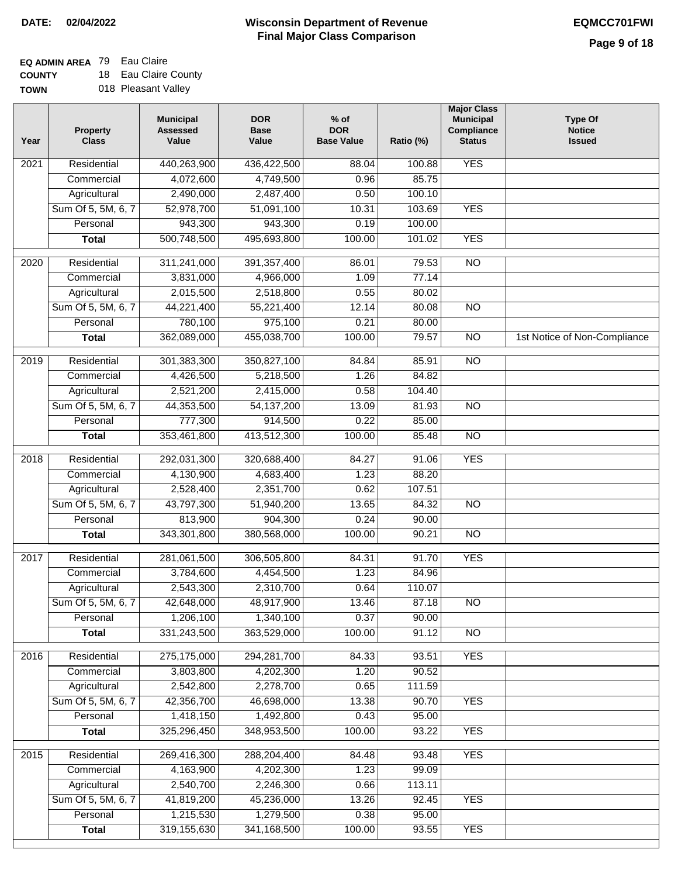## **EQ ADMIN AREA** 79 Eau Claire

**COUNTY TOWN** 18 Eau Claire County 018 Pleasant Valley

| Year | <b>Property</b><br><b>Class</b> | <b>Municipal</b><br><b>Assessed</b><br>Value | <b>DOR</b><br><b>Base</b><br>Value | % of<br><b>DOR</b><br><b>Base Value</b> | Ratio (%) | <b>Major Class</b><br><b>Municipal</b><br>Compliance<br><b>Status</b> | <b>Type Of</b><br><b>Notice</b><br><b>Issued</b> |
|------|---------------------------------|----------------------------------------------|------------------------------------|-----------------------------------------|-----------|-----------------------------------------------------------------------|--------------------------------------------------|
| 2021 | Residential                     | 440,263,900                                  | 436,422,500                        | 88.04                                   | 100.88    | <b>YES</b>                                                            |                                                  |
|      | Commercial                      | 4,072,600                                    | 4,749,500                          | 0.96                                    | 85.75     |                                                                       |                                                  |
|      | Agricultural                    | 2,490,000                                    | 2,487,400                          | 0.50                                    | 100.10    |                                                                       |                                                  |
|      | Sum Of 5, 5M, 6, 7              | 52,978,700                                   | 51,091,100                         | 10.31                                   | 103.69    | <b>YES</b>                                                            |                                                  |
|      | Personal                        | 943,300                                      | 943,300                            | 0.19                                    | 100.00    |                                                                       |                                                  |
|      | <b>Total</b>                    | 500,748,500                                  | 495,693,800                        | 100.00                                  | 101.02    | <b>YES</b>                                                            |                                                  |
| 2020 | Residential                     | 311,241,000                                  | 391, 357, 400                      | 86.01                                   | 79.53     | $\overline{NO}$                                                       |                                                  |
|      |                                 |                                              |                                    |                                         | 77.14     |                                                                       |                                                  |
|      | Commercial                      | 3,831,000                                    | 4,966,000                          | 1.09                                    |           |                                                                       |                                                  |
|      | Agricultural                    | 2,015,500                                    | 2,518,800                          | 0.55                                    | 80.02     |                                                                       |                                                  |
|      | Sum Of 5, 5M, 6, 7              | 44,221,400                                   | 55,221,400                         | 12.14                                   | 80.08     | $\overline{NO}$                                                       |                                                  |
|      | Personal                        | 780,100                                      | 975,100                            | 0.21                                    | 80.00     |                                                                       |                                                  |
|      | <b>Total</b>                    | 362,089,000                                  | 455,038,700                        | 100.00                                  | 79.57     | $\overline{NO}$                                                       | 1st Notice of Non-Compliance                     |
| 2019 | Residential                     | 301,383,300                                  | 350,827,100                        | 84.84                                   | 85.91     | $\overline{NO}$                                                       |                                                  |
|      | Commercial                      | 4,426,500                                    | 5,218,500                          | 1.26                                    | 84.82     |                                                                       |                                                  |
|      | Agricultural                    | 2,521,200                                    | 2,415,000                          | 0.58                                    | 104.40    |                                                                       |                                                  |
|      | Sum Of 5, 5M, 6, 7              | 44,353,500                                   | 54, 137, 200                       | 13.09                                   | 81.93     | $\overline{NO}$                                                       |                                                  |
|      | Personal                        | 777,300                                      | 914,500                            | 0.22                                    | 85.00     |                                                                       |                                                  |
|      | <b>Total</b>                    | 353,461,800                                  | 413,512,300                        | 100.00                                  | 85.48     | $\overline{NO}$                                                       |                                                  |
| 2018 | Residential                     | 292,031,300                                  | 320,688,400                        | 84.27                                   | 91.06     | <b>YES</b>                                                            |                                                  |
|      | Commercial                      | 4,130,900                                    | 4,683,400                          | 1.23                                    | 88.20     |                                                                       |                                                  |
|      | Agricultural                    | 2,528,400                                    | 2,351,700                          | 0.62                                    | 107.51    |                                                                       |                                                  |
|      | Sum Of 5, 5M, 6, 7              | 43,797,300                                   | 51,940,200                         | 13.65                                   | 84.32     | $\overline{10}$                                                       |                                                  |
|      | Personal                        | 813,900                                      | 904,300                            | 0.24                                    | 90.00     |                                                                       |                                                  |
|      | <b>Total</b>                    | 343,301,800                                  | 380,568,000                        | 100.00                                  | 90.21     | <b>NO</b>                                                             |                                                  |
|      |                                 |                                              |                                    |                                         |           |                                                                       |                                                  |
| 2017 | Residential                     | 281,061,500                                  | 306,505,800                        | 84.31                                   | 91.70     | <b>YES</b>                                                            |                                                  |
|      | Commercial                      | 3,784,600                                    | 4,454,500                          | 1.23                                    | 84.96     |                                                                       |                                                  |
|      | Agricultural                    | 2,543,300                                    | 2,310,700                          | 0.64                                    | 110.07    |                                                                       |                                                  |
|      | Sum Of 5, 5M, 6, 7              | 42,648,000                                   | 48,917,900                         | 13.46                                   | 87.18     | <b>NO</b>                                                             |                                                  |
|      | Personal                        | 1,206,100                                    | 1,340,100                          | 0.37                                    | 90.00     |                                                                       |                                                  |
|      | <b>Total</b>                    | 331,243,500                                  | 363,529,000                        | 100.00                                  | 91.12     | <b>NO</b>                                                             |                                                  |
| 2016 | Residential                     | 275,175,000                                  | 294,281,700                        | 84.33                                   | 93.51     | <b>YES</b>                                                            |                                                  |
|      | Commercial                      | 3,803,800                                    | 4,202,300                          | 1.20                                    | 90.52     |                                                                       |                                                  |
|      | Agricultural                    | 2,542,800                                    | 2,278,700                          | 0.65                                    | 111.59    |                                                                       |                                                  |
|      | Sum Of 5, 5M, 6, 7              | 42,356,700                                   | 46,698,000                         | 13.38                                   | 90.70     | <b>YES</b>                                                            |                                                  |
|      | Personal                        | 1,418,150                                    | 1,492,800                          | 0.43                                    | 95.00     |                                                                       |                                                  |
|      | <b>Total</b>                    | 325,296,450                                  | 348,953,500                        | 100.00                                  | 93.22     | <b>YES</b>                                                            |                                                  |
| 2015 | Residential                     | 269,416,300                                  | 288,204,400                        | 84.48                                   | 93.48     | <b>YES</b>                                                            |                                                  |
|      | Commercial                      | 4,163,900                                    | 4,202,300                          | 1.23                                    | 99.09     |                                                                       |                                                  |
|      | Agricultural                    | 2,540,700                                    | 2,246,300                          | 0.66                                    | 113.11    |                                                                       |                                                  |
|      | Sum Of 5, 5M, 6, 7              | 41,819,200                                   | 45,236,000                         | 13.26                                   | 92.45     | <b>YES</b>                                                            |                                                  |
|      | Personal                        | 1,215,530                                    | 1,279,500                          | 0.38                                    | 95.00     |                                                                       |                                                  |
|      | <b>Total</b>                    | 319,155,630                                  | 341, 168, 500                      | 100.00                                  | 93.55     | <b>YES</b>                                                            |                                                  |
|      |                                 |                                              |                                    |                                         |           |                                                                       |                                                  |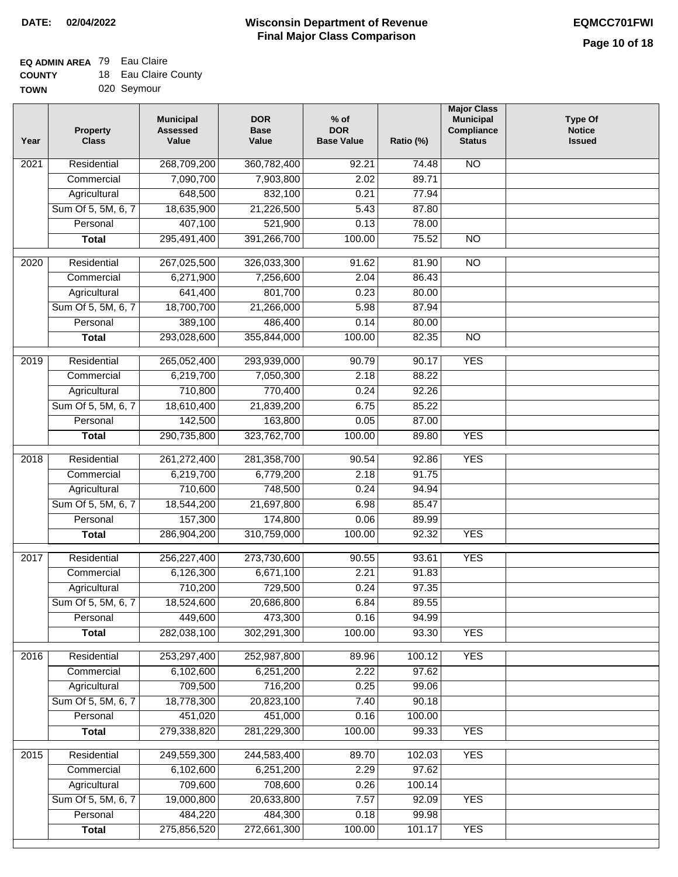## **EQ ADMIN AREA** 79 Eau Claire

| <b>COUNTY</b> | 18 Eau Claire County |
|---------------|----------------------|
| <b>TOWN</b>   | 020 Seymour          |

| 020 Seymour |
|-------------|
|             |

| Year | <b>Property</b><br><b>Class</b> | <b>Municipal</b><br><b>Assessed</b><br>Value | <b>DOR</b><br><b>Base</b><br>Value | $%$ of<br><b>DOR</b><br><b>Base Value</b> | Ratio (%) | <b>Major Class</b><br><b>Municipal</b><br>Compliance<br><b>Status</b> | <b>Type Of</b><br><b>Notice</b><br><b>Issued</b> |
|------|---------------------------------|----------------------------------------------|------------------------------------|-------------------------------------------|-----------|-----------------------------------------------------------------------|--------------------------------------------------|
| 2021 | Residential                     | 268,709,200                                  | 360,782,400                        | 92.21                                     | 74.48     | N <sub>O</sub>                                                        |                                                  |
|      | Commercial                      | 7,090,700                                    | 7,903,800                          | 2.02                                      | 89.71     |                                                                       |                                                  |
|      | Agricultural                    | 648,500                                      | 832,100                            | 0.21                                      | 77.94     |                                                                       |                                                  |
|      | Sum Of 5, 5M, 6, 7              | 18,635,900                                   | 21,226,500                         | 5.43                                      | 87.80     |                                                                       |                                                  |
|      | Personal                        | 407,100                                      | 521,900                            | 0.13                                      | 78.00     |                                                                       |                                                  |
|      | <b>Total</b>                    | 295,491,400                                  | 391,266,700                        | 100.00                                    | 75.52     | $\overline{NO}$                                                       |                                                  |
| 2020 | Residential                     | 267,025,500                                  | 326,033,300                        | 91.62                                     | 81.90     | $\overline{3}$                                                        |                                                  |
|      | Commercial                      | 6,271,900                                    | 7,256,600                          | 2.04                                      | 86.43     |                                                                       |                                                  |
|      | Agricultural                    | 641,400                                      | 801,700                            | 0.23                                      | 80.00     |                                                                       |                                                  |
|      | Sum Of 5, 5M, 6, 7              | 18,700,700                                   | 21,266,000                         | 5.98                                      | 87.94     |                                                                       |                                                  |
|      | Personal                        | 389,100                                      | 486,400                            | 0.14                                      | 80.00     |                                                                       |                                                  |
|      | <b>Total</b>                    | 293,028,600                                  | 355,844,000                        | 100.00                                    | 82.35     | $\overline{NO}$                                                       |                                                  |
|      |                                 |                                              |                                    |                                           |           |                                                                       |                                                  |
| 2019 | Residential                     | 265,052,400                                  | 293,939,000                        | 90.79                                     | 90.17     | <b>YES</b>                                                            |                                                  |
|      | Commercial                      | 6,219,700                                    | 7,050,300                          | 2.18                                      | 88.22     |                                                                       |                                                  |
|      | Agricultural                    | 710,800                                      | 770,400                            | 0.24                                      | 92.26     |                                                                       |                                                  |
|      | Sum Of 5, 5M, 6, 7              | 18,610,400                                   | 21,839,200                         | 6.75                                      | 85.22     |                                                                       |                                                  |
|      | Personal                        | 142,500                                      | 163,800                            | 0.05                                      | 87.00     |                                                                       |                                                  |
|      | <b>Total</b>                    | 290,735,800                                  | 323,762,700                        | 100.00                                    | 89.80     | <b>YES</b>                                                            |                                                  |
| 2018 | Residential                     | 261,272,400                                  | 281,358,700                        | 90.54                                     | 92.86     | <b>YES</b>                                                            |                                                  |
|      | Commercial                      | 6,219,700                                    | 6,779,200                          | 2.18                                      | 91.75     |                                                                       |                                                  |
|      | Agricultural                    | 710,600                                      | 748,500                            | 0.24                                      | 94.94     |                                                                       |                                                  |
|      | Sum Of 5, 5M, 6, 7              | 18,544,200                                   | 21,697,800                         | 6.98                                      | 85.47     |                                                                       |                                                  |
|      | Personal                        | 157,300                                      | 174,800                            | 0.06                                      | 89.99     |                                                                       |                                                  |
|      | <b>Total</b>                    | 286,904,200                                  | 310,759,000                        | 100.00                                    | 92.32     | <b>YES</b>                                                            |                                                  |
| 2017 | Residential                     | 256, 227, 400                                | 273,730,600                        | 90.55                                     | 93.61     | <b>YES</b>                                                            |                                                  |
|      | Commercial                      | 6,126,300                                    | 6,671,100                          | 2.21                                      | 91.83     |                                                                       |                                                  |
|      | Agricultural                    | 710,200                                      | 729,500                            | 0.24                                      | 97.35     |                                                                       |                                                  |
|      | Sum Of 5, 5M, 6, 7              | 18,524,600                                   | 20,686,800                         | 6.84                                      | 89.55     |                                                                       |                                                  |
|      | Personal                        | 449,600                                      | 473,300                            | 0.16                                      | 94.99     |                                                                       |                                                  |
|      | <b>Total</b>                    | 282,038,100                                  | 302,291,300                        | 100.00                                    | 93.30     | <b>YES</b>                                                            |                                                  |
| 2016 | Residential                     | 253,297,400                                  | 252,987,800                        | 89.96                                     | 100.12    | <b>YES</b>                                                            |                                                  |
|      | Commercial                      | 6,102,600                                    | 6,251,200                          | 2.22                                      | 97.62     |                                                                       |                                                  |
|      | Agricultural                    | 709,500                                      | 716,200                            | 0.25                                      | 99.06     |                                                                       |                                                  |
|      | Sum Of 5, 5M, 6, 7              | 18,778,300                                   | 20,823,100                         | 7.40                                      | 90.18     |                                                                       |                                                  |
|      | Personal                        | 451,020                                      | 451,000                            | 0.16                                      | 100.00    |                                                                       |                                                  |
|      | <b>Total</b>                    | 279,338,820                                  | 281,229,300                        | 100.00                                    | 99.33     | <b>YES</b>                                                            |                                                  |
|      |                                 |                                              |                                    |                                           |           |                                                                       |                                                  |
| 2015 | Residential                     | 249,559,300                                  | 244,583,400                        | 89.70                                     | 102.03    | <b>YES</b>                                                            |                                                  |
|      | Commercial                      | 6,102,600                                    | 6,251,200                          | 2.29                                      | 97.62     |                                                                       |                                                  |
|      | Agricultural                    | 709,600                                      | 708,600                            | 0.26                                      | 100.14    |                                                                       |                                                  |
|      | Sum Of 5, 5M, 6, 7              | 19,000,800                                   | 20,633,800                         | 7.57                                      | 92.09     | <b>YES</b>                                                            |                                                  |
|      | Personal                        | 484,220                                      | 484,300                            | 0.18                                      | 99.98     |                                                                       |                                                  |
|      | <b>Total</b>                    | 275,856,520                                  | 272,661,300                        | 100.00                                    | 101.17    | <b>YES</b>                                                            |                                                  |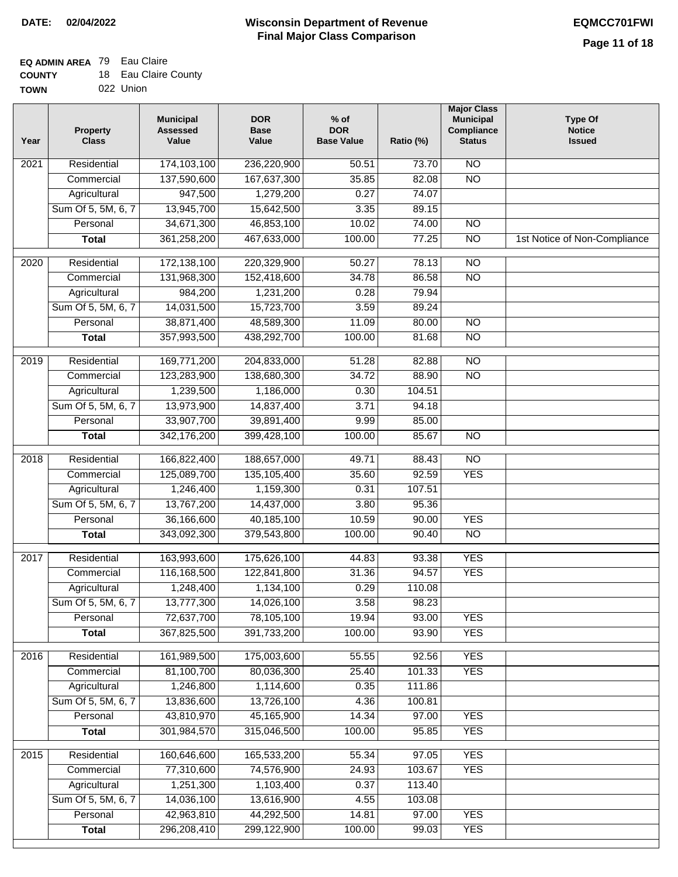### **EQ ADMIN AREA** 79 Eau Claire

| <b>COUNTY</b> |  | 18 Eau Claire County |
|---------------|--|----------------------|
|---------------|--|----------------------|

**TOWN** 022 Union

| Year | <b>Property</b><br><b>Class</b> | <b>Municipal</b><br><b>Assessed</b><br>Value | <b>DOR</b><br><b>Base</b><br>Value | $%$ of<br><b>DOR</b><br><b>Base Value</b> | Ratio (%) | <b>Major Class</b><br><b>Municipal</b><br>Compliance<br><b>Status</b> | <b>Type Of</b><br><b>Notice</b><br><b>Issued</b> |
|------|---------------------------------|----------------------------------------------|------------------------------------|-------------------------------------------|-----------|-----------------------------------------------------------------------|--------------------------------------------------|
| 2021 | Residential                     | 174,103,100                                  | 236,220,900                        | 50.51                                     | 73.70     | N <sub>O</sub>                                                        |                                                  |
|      | Commercial                      | 137,590,600                                  | 167,637,300                        | 35.85                                     | 82.08     | $\overline{NO}$                                                       |                                                  |
|      | Agricultural                    | 947,500                                      | 1,279,200                          | 0.27                                      | 74.07     |                                                                       |                                                  |
|      | Sum Of 5, 5M, 6, 7              | 13,945,700                                   | 15,642,500                         | 3.35                                      | 89.15     |                                                                       |                                                  |
|      | Personal                        | 34,671,300                                   | 46,853,100                         | 10.02                                     | 74.00     | $\overline{NO}$                                                       |                                                  |
|      | <b>Total</b>                    | 361,258,200                                  | 467,633,000                        | 100.00                                    | 77.25     | $\overline{NO}$                                                       | 1st Notice of Non-Compliance                     |
| 2020 | Residential                     | 172,138,100                                  | 220,329,900                        | 50.27                                     | 78.13     | $\overline{10}$                                                       |                                                  |
|      | Commercial                      | 131,968,300                                  | 152,418,600                        | 34.78                                     | 86.58     | $\overline{NO}$                                                       |                                                  |
|      | Agricultural                    | 984,200                                      | 1,231,200                          | 0.28                                      | 79.94     |                                                                       |                                                  |
|      | Sum Of 5, 5M, 6, 7              | 14,031,500                                   | 15,723,700                         | 3.59                                      | 89.24     |                                                                       |                                                  |
|      | Personal                        | 38,871,400                                   | 48,589,300                         | 11.09                                     | 80.00     | $\overline{NO}$                                                       |                                                  |
|      | <b>Total</b>                    | 357,993,500                                  | 438,292,700                        | 100.00                                    | 81.68     | $\overline{NO}$                                                       |                                                  |
| 2019 | Residential                     | 169,771,200                                  | 204,833,000                        | 51.28                                     | 82.88     | $\overline{10}$                                                       |                                                  |
|      | Commercial                      | 123,283,900                                  | 138,680,300                        | 34.72                                     | 88.90     | $\overline{NO}$                                                       |                                                  |
|      | Agricultural                    | 1,239,500                                    | 1,186,000                          | 0.30                                      | 104.51    |                                                                       |                                                  |
|      | Sum Of 5, 5M, 6, 7              | 13,973,900                                   | 14,837,400                         | 3.71                                      | 94.18     |                                                                       |                                                  |
|      | Personal                        | 33,907,700                                   | 39,891,400                         | 9.99                                      | 85.00     |                                                                       |                                                  |
|      | <b>Total</b>                    | 342,176,200                                  | 399,428,100                        | 100.00                                    | 85.67     | $\overline{NO}$                                                       |                                                  |
| 2018 | Residential                     | 166,822,400                                  | 188,657,000                        | 49.71                                     | 88.43     | $\overline{10}$                                                       |                                                  |
|      | Commercial                      | 125,089,700                                  | 135,105,400                        | 35.60                                     | 92.59     | <b>YES</b>                                                            |                                                  |
|      | Agricultural                    | 1,246,400                                    | 1,159,300                          | 0.31                                      | 107.51    |                                                                       |                                                  |
|      | Sum Of 5, 5M, 6, 7              | 13,767,200                                   | 14,437,000                         | 3.80                                      | 95.36     |                                                                       |                                                  |
|      | Personal                        | 36,166,600                                   | 40,185,100                         | 10.59                                     | 90.00     | <b>YES</b>                                                            |                                                  |
|      | <b>Total</b>                    | 343,092,300                                  | 379,543,800                        | 100.00                                    | 90.40     | <b>NO</b>                                                             |                                                  |
| 2017 | Residential                     | 163,993,600                                  | 175,626,100                        | 44.83                                     | 93.38     | <b>YES</b>                                                            |                                                  |
|      | Commercial                      | 116,168,500                                  | 122,841,800                        | 31.36                                     | 94.57     | <b>YES</b>                                                            |                                                  |
|      | Agricultural                    | 1,248,400                                    | 1,134,100                          | 0.29                                      | 110.08    |                                                                       |                                                  |
|      | Sum Of 5, 5M, 6, 7              | 13,777,300                                   | 14,026,100                         | 3.58                                      | 98.23     |                                                                       |                                                  |
|      | Personal                        | 72,637,700                                   | 78,105,100                         | 19.94                                     | 93.00     | <b>YES</b>                                                            |                                                  |
|      | <b>Total</b>                    | 367,825,500                                  | 391,733,200                        | 100.00                                    | 93.90     | <b>YES</b>                                                            |                                                  |
| 2016 | Residential                     | 161,989,500                                  | 175,003,600                        | 55.55                                     | 92.56     | <b>YES</b>                                                            |                                                  |
|      | Commercial                      | 81,100,700                                   | 80,036,300                         | 25.40                                     | 101.33    | <b>YES</b>                                                            |                                                  |
|      | Agricultural                    | 1,246,800                                    | 1,114,600                          | 0.35                                      | 111.86    |                                                                       |                                                  |
|      | Sum Of 5, 5M, 6, 7              | 13,836,600                                   | 13,726,100                         | 4.36                                      | 100.81    |                                                                       |                                                  |
|      | Personal                        | 43,810,970                                   | 45,165,900                         | 14.34                                     | 97.00     | <b>YES</b>                                                            |                                                  |
|      | <b>Total</b>                    | 301,984,570                                  | 315,046,500                        | 100.00                                    | 95.85     | <b>YES</b>                                                            |                                                  |
|      |                                 |                                              |                                    |                                           |           |                                                                       |                                                  |
| 2015 | Residential                     | 160,646,600                                  | 165,533,200                        | 55.34                                     | 97.05     | <b>YES</b>                                                            |                                                  |
|      | Commercial                      | 77,310,600                                   | 74,576,900                         | 24.93                                     | 103.67    | <b>YES</b>                                                            |                                                  |
|      | Agricultural                    | 1,251,300                                    | 1,103,400                          | 0.37                                      | 113.40    |                                                                       |                                                  |
|      | Sum Of 5, 5M, 6, 7              | 14,036,100                                   | 13,616,900                         | 4.55                                      | 103.08    |                                                                       |                                                  |
|      | Personal                        | 42,963,810                                   | 44,292,500                         | 14.81                                     | 97.00     | <b>YES</b>                                                            |                                                  |
|      | <b>Total</b>                    | 296,208,410                                  | 299,122,900                        | 100.00                                    | 99.03     | <b>YES</b>                                                            |                                                  |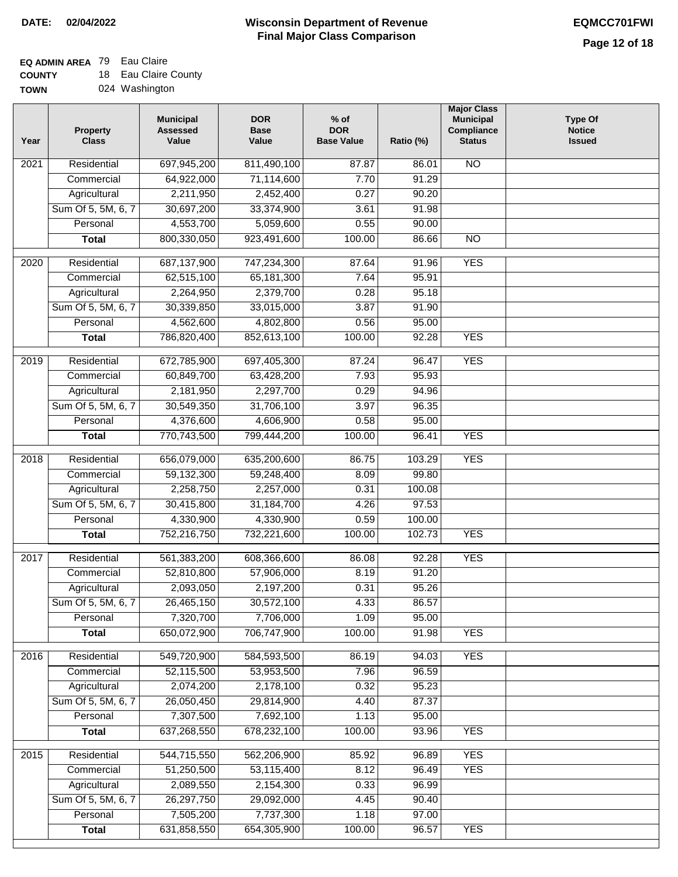### **Wisconsin Department of Revenue Final Major Class Comparison DATE: 02/04/2022 EQMCC701FWI**

٦

### **EQ ADMIN AREA** 79 Eau Claire

**COUNTY** 18 Eau Claire County

| <b>TOWN</b> | 024 Washington |
|-------------|----------------|
|             |                |

| Year              | <b>Property</b><br><b>Class</b> | <b>Municipal</b><br><b>Assessed</b><br>Value | <b>DOR</b><br><b>Base</b><br>Value | $%$ of<br><b>DOR</b><br><b>Base Value</b> | Ratio (%) | <b>Major Class</b><br><b>Municipal</b><br>Compliance<br><b>Status</b> | <b>Type Of</b><br><b>Notice</b><br><b>Issued</b> |
|-------------------|---------------------------------|----------------------------------------------|------------------------------------|-------------------------------------------|-----------|-----------------------------------------------------------------------|--------------------------------------------------|
| 2021              | Residential                     | 697,945,200                                  | 811,490,100                        | 87.87                                     | 86.01     | <b>NO</b>                                                             |                                                  |
|                   | Commercial                      | 64,922,000                                   | 71,114,600                         | 7.70                                      | 91.29     |                                                                       |                                                  |
|                   | Agricultural                    | 2,211,950                                    | 2,452,400                          | 0.27                                      | 90.20     |                                                                       |                                                  |
|                   | Sum Of 5, 5M, 6, 7              | 30,697,200                                   | 33,374,900                         | 3.61                                      | 91.98     |                                                                       |                                                  |
|                   | Personal                        | 4,553,700                                    | 5,059,600                          | 0.55                                      | 90.00     |                                                                       |                                                  |
|                   | <b>Total</b>                    | 800,330,050                                  | 923,491,600                        | 100.00                                    | 86.66     | $\overline{NO}$                                                       |                                                  |
| $\overline{2020}$ | Residential                     | 687,137,900                                  | 747,234,300                        | 87.64                                     | 91.96     | <b>YES</b>                                                            |                                                  |
|                   | Commercial                      | 62,515,100                                   | 65, 181, 300                       | 7.64                                      | 95.91     |                                                                       |                                                  |
|                   | Agricultural                    | 2,264,950                                    | 2,379,700                          | 0.28                                      | 95.18     |                                                                       |                                                  |
|                   | Sum Of 5, 5M, 6, 7              | 30,339,850                                   | 33,015,000                         | 3.87                                      | 91.90     |                                                                       |                                                  |
|                   | Personal                        | 4,562,600                                    | 4,802,800                          | 0.56                                      | 95.00     |                                                                       |                                                  |
|                   | <b>Total</b>                    | 786,820,400                                  | 852,613,100                        | 100.00                                    | 92.28     | <b>YES</b>                                                            |                                                  |
|                   |                                 |                                              |                                    |                                           |           |                                                                       |                                                  |
| $\frac{2019}{ }$  | Residential                     | 672,785,900                                  | 697,405,300                        | 87.24                                     | 96.47     | <b>YES</b>                                                            |                                                  |
|                   | Commercial                      | 60,849,700                                   | 63,428,200                         | 7.93                                      | 95.93     |                                                                       |                                                  |
|                   | Agricultural                    | 2,181,950                                    | 2,297,700                          | 0.29                                      | 94.96     |                                                                       |                                                  |
|                   | Sum Of 5, 5M, 6, 7              | 30,549,350                                   | 31,706,100                         | 3.97                                      | 96.35     |                                                                       |                                                  |
|                   | Personal                        | 4,376,600                                    | 4,606,900                          | 0.58                                      | 95.00     |                                                                       |                                                  |
|                   | <b>Total</b>                    | 770,743,500                                  | 799,444,200                        | 100.00                                    | 96.41     | <b>YES</b>                                                            |                                                  |
| 2018              | Residential                     | 656,079,000                                  | 635,200,600                        | 86.75                                     | 103.29    | <b>YES</b>                                                            |                                                  |
|                   | Commercial                      | 59,132,300                                   | 59,248,400                         | 8.09                                      | 99.80     |                                                                       |                                                  |
|                   | Agricultural                    | 2,258,750                                    | 2,257,000                          | 0.31                                      | 100.08    |                                                                       |                                                  |
|                   | Sum Of 5, 5M, 6, 7              | 30,415,800                                   | 31,184,700                         | 4.26                                      | 97.53     |                                                                       |                                                  |
|                   | Personal                        | 4,330,900                                    | 4,330,900                          | 0.59                                      | 100.00    |                                                                       |                                                  |
|                   | <b>Total</b>                    | 752,216,750                                  | 732,221,600                        | 100.00                                    | 102.73    | <b>YES</b>                                                            |                                                  |
| 2017              | Residential                     | 561,383,200                                  | 608,366,600                        | 86.08                                     | 92.28     | <b>YES</b>                                                            |                                                  |
|                   | Commercial                      | 52,810,800                                   | 57,906,000                         | 8.19                                      | 91.20     |                                                                       |                                                  |
|                   | Agricultural                    | 2,093,050                                    | 2,197,200                          | 0.31                                      | 95.26     |                                                                       |                                                  |
|                   | Sum Of 5, 5M, 6, 7              | 26,465,150                                   | 30,572,100                         | 4.33                                      | 86.57     |                                                                       |                                                  |
|                   | Personal                        | 7,320,700                                    | 7,706,000                          | 1.09                                      | 95.00     |                                                                       |                                                  |
|                   | <b>Total</b>                    | 650,072,900                                  | 706,747,900                        | 100.00                                    | 91.98     | <b>YES</b>                                                            |                                                  |
| 2016              | Residential                     | 549,720,900                                  | 584,593,500                        | 86.19                                     | 94.03     | <b>YES</b>                                                            |                                                  |
|                   | Commercial                      | 52,115,500                                   | 53,953,500                         | 7.96                                      | 96.59     |                                                                       |                                                  |
|                   | Agricultural                    | 2,074,200                                    | 2,178,100                          | 0.32                                      | 95.23     |                                                                       |                                                  |
|                   | Sum Of 5, 5M, 6, 7              | 26,050,450                                   | 29,814,900                         | 4.40                                      | 87.37     |                                                                       |                                                  |
|                   | Personal                        | 7,307,500                                    | 7,692,100                          | 1.13                                      | 95.00     |                                                                       |                                                  |
|                   | <b>Total</b>                    | 637,268,550                                  | 678,232,100                        | 100.00                                    | 93.96     | <b>YES</b>                                                            |                                                  |
| 2015              | Residential                     | 544,715,550                                  | 562,206,900                        | 85.92                                     | 96.89     | <b>YES</b>                                                            |                                                  |
|                   | Commercial                      | 51,250,500                                   | 53,115,400                         | 8.12                                      | 96.49     | <b>YES</b>                                                            |                                                  |
|                   | Agricultural                    | 2,089,550                                    | 2,154,300                          | 0.33                                      | 96.99     |                                                                       |                                                  |
|                   | Sum Of 5, 5M, 6, 7              | 26,297,750                                   | 29,092,000                         | 4.45                                      | 90.40     |                                                                       |                                                  |
|                   | Personal                        | 7,505,200                                    | 7,737,300                          | 1.18                                      | 97.00     |                                                                       |                                                  |
|                   | <b>Total</b>                    | 631,858,550                                  | 654,305,900                        | 100.00                                    | 96.57     | <b>YES</b>                                                            |                                                  |
|                   |                                 |                                              |                                    |                                           |           |                                                                       |                                                  |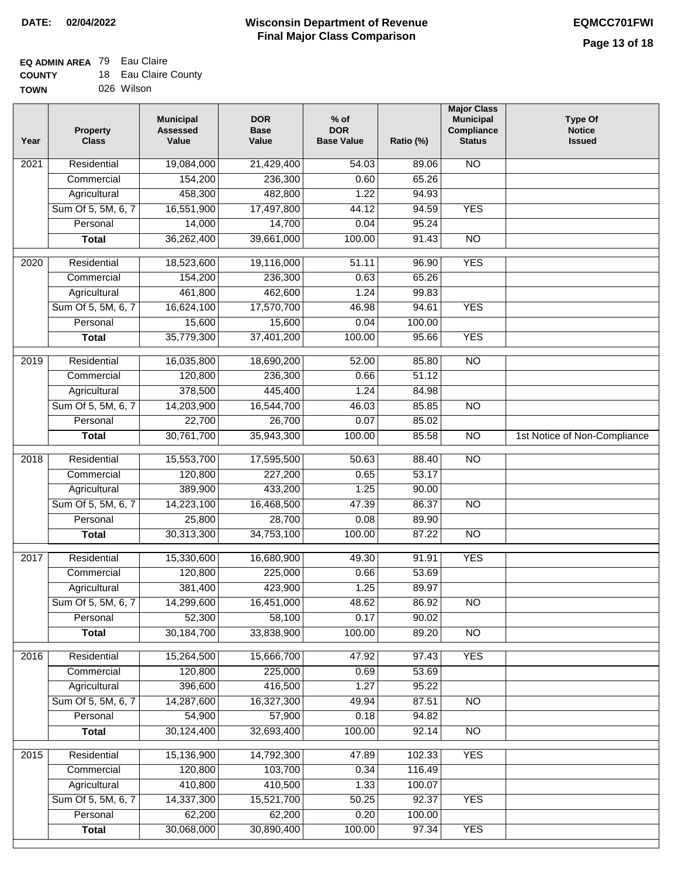### **Wisconsin Department of Revenue Final Major Class Comparison DATE: 02/04/2022 EQMCC701FWI**

٦

#### **EQ ADMIN AREA** 79 Eau Claire **COUNTY** 18 Eau Claire County

| <b>COUNT</b> | $\cdots$ | Lau Gialle Cui |
|--------------|----------|----------------|
| TOWN         |          | 026 Wilson     |

| Year             | <b>Property</b><br><b>Class</b> | <b>Municipal</b><br><b>Assessed</b><br>Value | <b>DOR</b><br><b>Base</b><br>Value | $%$ of<br><b>DOR</b><br><b>Base Value</b> | Ratio (%) | <b>Major Class</b><br><b>Municipal</b><br>Compliance<br><b>Status</b> | <b>Type Of</b><br><b>Notice</b><br><b>Issued</b> |
|------------------|---------------------------------|----------------------------------------------|------------------------------------|-------------------------------------------|-----------|-----------------------------------------------------------------------|--------------------------------------------------|
| 2021             | Residential                     | 19,084,000                                   | 21,429,400                         | 54.03                                     | 89.06     | <b>NO</b>                                                             |                                                  |
|                  | Commercial                      | 154,200                                      | 236,300                            | 0.60                                      | 65.26     |                                                                       |                                                  |
|                  | Agricultural                    | 458,300                                      | 482,800                            | 1.22                                      | 94.93     |                                                                       |                                                  |
|                  | Sum Of 5, 5M, 6, 7              | 16,551,900                                   | 17,497,800                         | 44.12                                     | 94.59     | <b>YES</b>                                                            |                                                  |
|                  | Personal                        | 14,000                                       | 14,700                             | 0.04                                      | 95.24     |                                                                       |                                                  |
|                  | <b>Total</b>                    | 36,262,400                                   | 39,661,000                         | 100.00                                    | 91.43     | $\overline{NO}$                                                       |                                                  |
| 2020             | Residential                     | 18,523,600                                   | 19,116,000                         | 51.11                                     | 96.90     | <b>YES</b>                                                            |                                                  |
|                  | Commercial                      | 154,200                                      | 236,300                            | 0.63                                      | 65.26     |                                                                       |                                                  |
|                  | Agricultural                    | 461,800                                      | 462,600                            | 1.24                                      | 99.83     |                                                                       |                                                  |
|                  | Sum Of 5, 5M, 6, 7              | 16,624,100                                   | 17,570,700                         | 46.98                                     | 94.61     | <b>YES</b>                                                            |                                                  |
|                  | Personal                        | 15,600                                       | 15,600                             | 0.04                                      | 100.00    |                                                                       |                                                  |
|                  | <b>Total</b>                    | 35,779,300                                   | 37,401,200                         | 100.00                                    | 95.66     | <b>YES</b>                                                            |                                                  |
|                  |                                 |                                              |                                    |                                           |           |                                                                       |                                                  |
| $\frac{1}{2019}$ | Residential                     | 16,035,800                                   | 18,690,200                         | 52.00                                     | 85.80     | $\overline{NO}$                                                       |                                                  |
|                  | Commercial                      | 120,800                                      | 236,300                            | 0.66                                      | 51.12     |                                                                       |                                                  |
|                  | Agricultural                    | 378,500                                      | 445,400                            | 1.24                                      | 84.98     |                                                                       |                                                  |
|                  | Sum Of 5, 5M, 6, 7              | 14,203,900                                   | 16,544,700                         | 46.03                                     | 85.85     | $\overline{NO}$                                                       |                                                  |
|                  | Personal                        | 22,700                                       | 26,700                             | 0.07                                      | 85.02     |                                                                       |                                                  |
|                  | <b>Total</b>                    | 30,761,700                                   | 35,943,300                         | 100.00                                    | 85.58     | $\overline{NO}$                                                       | 1st Notice of Non-Compliance                     |
| 2018             | Residential                     | 15,553,700                                   | 17,595,500                         | 50.63                                     | 88.40     | $\overline{10}$                                                       |                                                  |
|                  | Commercial                      | 120,800                                      | 227,200                            | 0.65                                      | 53.17     |                                                                       |                                                  |
|                  | Agricultural                    | 389,900                                      | 433,200                            | 1.25                                      | 90.00     |                                                                       |                                                  |
|                  | Sum Of 5, 5M, 6, 7              | 14,223,100                                   | 16,468,500                         | 47.39                                     | 86.37     | <b>NO</b>                                                             |                                                  |
|                  | Personal                        | 25,800                                       | 28,700                             | 0.08                                      | 89.90     |                                                                       |                                                  |
|                  | <b>Total</b>                    | 30,313,300                                   | 34,753,100                         | 100.00                                    | 87.22     | $\overline{NO}$                                                       |                                                  |
| 2017             | Residential                     | 15,330,600                                   | 16,680,900                         | 49.30                                     | 91.91     | <b>YES</b>                                                            |                                                  |
|                  | Commercial                      | 120,800                                      | 225,000                            | 0.66                                      | 53.69     |                                                                       |                                                  |
|                  | Agricultural                    | 381,400                                      | 423,900                            | 1.25                                      | 89.97     |                                                                       |                                                  |
|                  | Sum Of 5, 5M, 6, 7              | 14,299,600                                   | 16,451,000                         | 48.62                                     | 86.92     | $\overline{NO}$                                                       |                                                  |
|                  | Personal                        | 52,300                                       | 58,100                             | 0.17                                      | 90.02     |                                                                       |                                                  |
|                  | <b>Total</b>                    | 30,184,700                                   | 33,838,900                         | 100.00                                    | 89.20     | $\overline{NO}$                                                       |                                                  |
| 2016             | Residential                     | 15,264,500                                   | 15,666,700                         | 47.92                                     | 97.43     | <b>YES</b>                                                            |                                                  |
|                  | Commercial                      | 120,800                                      | 225,000                            | 0.69                                      | 53.69     |                                                                       |                                                  |
|                  | Agricultural                    | 396,600                                      | 416,500                            | 1.27                                      | 95.22     |                                                                       |                                                  |
|                  | Sum Of 5, 5M, 6, 7              | 14,287,600                                   | 16,327,300                         | 49.94                                     | 87.51     | <b>NO</b>                                                             |                                                  |
|                  | Personal                        | 54,900                                       | 57,900                             | 0.18                                      | 94.82     |                                                                       |                                                  |
|                  | <b>Total</b>                    | 30,124,400                                   | 32,693,400                         | 100.00                                    | 92.14     | N <sub>O</sub>                                                        |                                                  |
| 2015             | Residential                     | 15,136,900                                   | 14,792,300                         | 47.89                                     | 102.33    | <b>YES</b>                                                            |                                                  |
|                  | Commercial                      | 120,800                                      | 103,700                            | 0.34                                      | 116.49    |                                                                       |                                                  |
|                  | Agricultural                    | 410,800                                      | 410,500                            | 1.33                                      | 100.07    |                                                                       |                                                  |
|                  | Sum Of 5, 5M, 6, 7              | 14,337,300                                   | 15,521,700                         | 50.25                                     | 92.37     | <b>YES</b>                                                            |                                                  |
|                  | Personal                        | 62,200                                       | 62,200                             | 0.20                                      | 100.00    |                                                                       |                                                  |
|                  | <b>Total</b>                    | 30,068,000                                   | 30,890,400                         | 100.00                                    | 97.34     | <b>YES</b>                                                            |                                                  |
|                  |                                 |                                              |                                    |                                           |           |                                                                       |                                                  |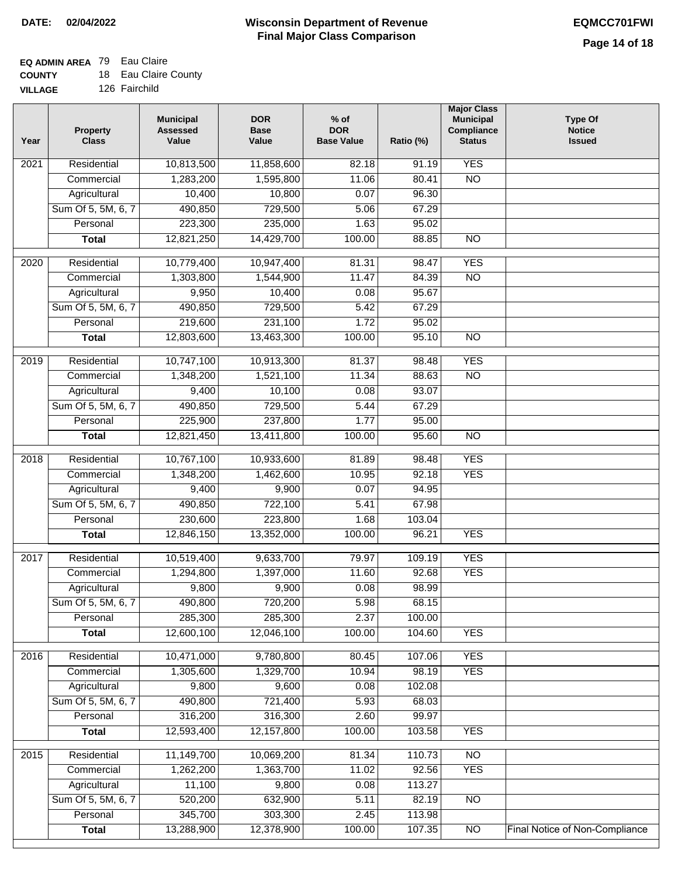## **EQ ADMIN AREA** 79 Eau Claire

| <b>COUNTY</b> |  | 18 Eau Claire County |
|---------------|--|----------------------|
|---------------|--|----------------------|

**VILLAGE** 126 Fairchild

| Year              | <b>Property</b><br><b>Class</b> | <b>Municipal</b><br><b>Assessed</b><br>Value | <b>DOR</b><br><b>Base</b><br>Value | $%$ of<br><b>DOR</b><br><b>Base Value</b> | Ratio (%) | <b>Major Class</b><br><b>Municipal</b><br>Compliance<br><b>Status</b> | <b>Type Of</b><br><b>Notice</b><br><b>Issued</b> |
|-------------------|---------------------------------|----------------------------------------------|------------------------------------|-------------------------------------------|-----------|-----------------------------------------------------------------------|--------------------------------------------------|
| $\overline{202}1$ | Residential                     | 10,813,500                                   | 11,858,600                         | 82.18                                     | 91.19     | <b>YES</b>                                                            |                                                  |
|                   | Commercial                      | 1,283,200                                    | 1,595,800                          | 11.06                                     | 80.41     | $\overline{NO}$                                                       |                                                  |
|                   | Agricultural                    | 10,400                                       | 10,800                             | 0.07                                      | 96.30     |                                                                       |                                                  |
|                   | Sum Of 5, 5M, 6, 7              | 490,850                                      | 729,500                            | 5.06                                      | 67.29     |                                                                       |                                                  |
|                   | Personal                        | 223,300                                      | 235,000                            | 1.63                                      | 95.02     |                                                                       |                                                  |
|                   | <b>Total</b>                    | 12,821,250                                   | 14,429,700                         | 100.00                                    | 88.85     | $\overline{NO}$                                                       |                                                  |
| $\overline{2020}$ | Residential                     | 10,779,400                                   | 10,947,400                         | 81.31                                     | 98.47     | <b>YES</b>                                                            |                                                  |
|                   | Commercial                      | 1,303,800                                    | 1,544,900                          | 11.47                                     | 84.39     | $\overline{NO}$                                                       |                                                  |
|                   | Agricultural                    | 9,950                                        | 10,400                             | 0.08                                      | 95.67     |                                                                       |                                                  |
|                   | Sum Of 5, 5M, 6, 7              | 490,850                                      | 729,500                            | 5.42                                      | 67.29     |                                                                       |                                                  |
|                   | Personal                        | 219,600                                      | 231,100                            | 1.72                                      | 95.02     |                                                                       |                                                  |
|                   | <b>Total</b>                    | 12,803,600                                   | 13,463,300                         | 100.00                                    | 95.10     | $\overline{NO}$                                                       |                                                  |
| 2019              | Residential                     | 10,747,100                                   | 10,913,300                         | 81.37                                     | 98.48     | <b>YES</b>                                                            |                                                  |
|                   | Commercial                      | 1,348,200                                    | 1,521,100                          | 11.34                                     | 88.63     | $\overline{NO}$                                                       |                                                  |
|                   | Agricultural                    | 9,400                                        | 10,100                             | 0.08                                      | 93.07     |                                                                       |                                                  |
|                   | Sum Of 5, 5M, 6, 7              | 490,850                                      | 729,500                            | 5.44                                      | 67.29     |                                                                       |                                                  |
|                   | Personal                        | 225,900                                      | 237,800                            | 1.77                                      | 95.00     |                                                                       |                                                  |
|                   | <b>Total</b>                    | 12,821,450                                   | 13,411,800                         | 100.00                                    | 95.60     | $\overline{NO}$                                                       |                                                  |
| 2018              | Residential                     | 10,767,100                                   | 10,933,600                         | 81.89                                     | 98.48     | <b>YES</b>                                                            |                                                  |
|                   | Commercial                      | 1,348,200                                    | 1,462,600                          | 10.95                                     | 92.18     | <b>YES</b>                                                            |                                                  |
|                   | Agricultural                    | 9,400                                        | 9,900                              | 0.07                                      | 94.95     |                                                                       |                                                  |
|                   | Sum Of 5, 5M, 6, 7              | 490,850                                      | 722,100                            | 5.41                                      | 67.98     |                                                                       |                                                  |
|                   | Personal                        | 230,600                                      | 223,800                            | 1.68                                      | 103.04    |                                                                       |                                                  |
|                   | <b>Total</b>                    | 12,846,150                                   | 13,352,000                         | 100.00                                    | 96.21     | <b>YES</b>                                                            |                                                  |
| 2017              | Residential                     | 10,519,400                                   | 9,633,700                          |                                           | 109.19    | <b>YES</b>                                                            |                                                  |
|                   | Commercial                      | 1,294,800                                    | 1,397,000                          | 79.97<br>11.60                            | 92.68     | <b>YES</b>                                                            |                                                  |
|                   | Agricultural                    | 9,800                                        | 9,900                              | 0.08                                      | 98.99     |                                                                       |                                                  |
|                   | Sum Of 5, 5M, 6, 7              | 490,800                                      | 720,200                            | 5.98                                      | 68.15     |                                                                       |                                                  |
|                   | Personal                        | 285,300                                      | 285,300                            | 2.37                                      | 100.00    |                                                                       |                                                  |
|                   | <b>Total</b>                    | 12,600,100                                   | 12,046,100                         | 100.00                                    | 104.60    | <b>YES</b>                                                            |                                                  |
|                   |                                 |                                              |                                    |                                           |           |                                                                       |                                                  |
| 2016              | Residential                     | 10,471,000                                   | 9,780,800                          | 80.45                                     | 107.06    | <b>YES</b>                                                            |                                                  |
|                   | Commercial                      | 1,305,600                                    | 1,329,700                          | 10.94                                     | 98.19     | <b>YES</b>                                                            |                                                  |
|                   | Agricultural                    | 9,800                                        | 9,600                              | 0.08                                      | 102.08    |                                                                       |                                                  |
|                   | Sum Of 5, 5M, 6, 7              | 490,800                                      | 721,400                            | 5.93                                      | 68.03     |                                                                       |                                                  |
|                   | Personal                        | 316,200                                      | 316,300                            | 2.60                                      | 99.97     |                                                                       |                                                  |
|                   | <b>Total</b>                    | 12,593,400                                   | 12,157,800                         | 100.00                                    | 103.58    | <b>YES</b>                                                            |                                                  |
| 2015              | Residential                     | 11,149,700                                   | 10,069,200                         | 81.34                                     | 110.73    | $\overline{NO}$                                                       |                                                  |
|                   | Commercial                      | 1,262,200                                    | 1,363,700                          | 11.02                                     | 92.56     | <b>YES</b>                                                            |                                                  |
|                   | Agricultural                    | 11,100                                       | 9,800                              | 0.08                                      | 113.27    |                                                                       |                                                  |
|                   | Sum Of 5, 5M, 6, 7              | 520,200                                      | 632,900                            | 5.11                                      | 82.19     | <b>NO</b>                                                             |                                                  |
|                   | Personal                        | 345,700                                      | 303,300                            | 2.45                                      | 113.98    |                                                                       |                                                  |
|                   | <b>Total</b>                    | 13,288,900                                   | 12,378,900                         | 100.00                                    | 107.35    | $\overline{NO}$                                                       | <b>Final Notice of Non-Compliance</b>            |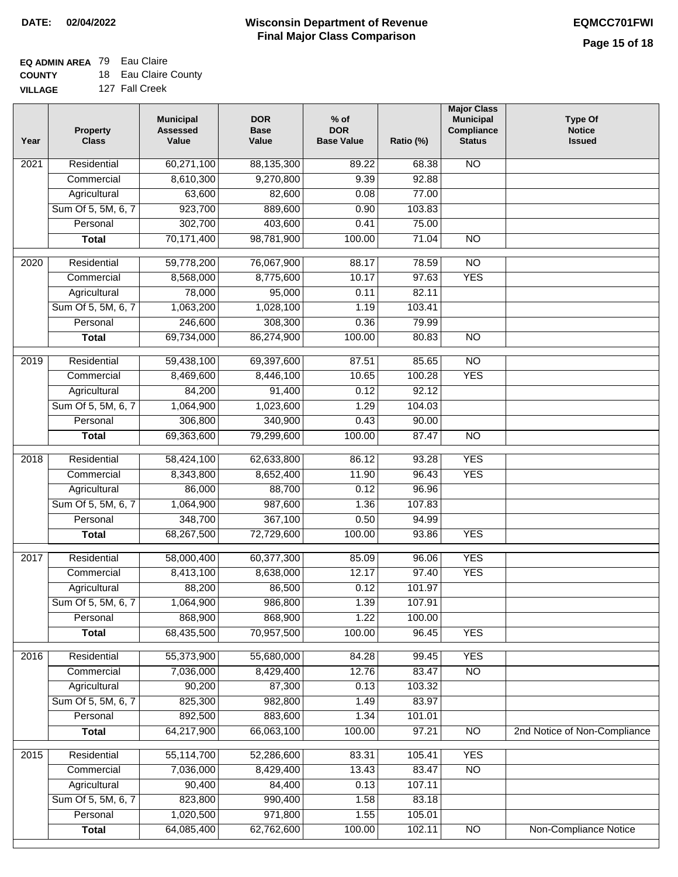### **EQ ADMIN AREA** 79 Eau Claire

| <b>COUNTY</b>  | 18 Eau Claire County |
|----------------|----------------------|
| <b>VILLAGE</b> | 127 Fall Creek       |

| Year              | <b>Property</b><br><b>Class</b> | <b>Municipal</b><br><b>Assessed</b><br>Value | <b>DOR</b><br><b>Base</b><br>Value | $%$ of<br><b>DOR</b><br><b>Base Value</b> | Ratio (%) | <b>Major Class</b><br><b>Municipal</b><br>Compliance<br><b>Status</b> | Type Of<br><b>Notice</b><br><b>Issued</b> |
|-------------------|---------------------------------|----------------------------------------------|------------------------------------|-------------------------------------------|-----------|-----------------------------------------------------------------------|-------------------------------------------|
| 2021              | Residential                     | 60,271,100                                   | 88,135,300                         | 89.22                                     | 68.38     | <b>NO</b>                                                             |                                           |
|                   | Commercial                      | 8,610,300                                    | 9,270,800                          | 9.39                                      | 92.88     |                                                                       |                                           |
|                   | Agricultural                    | 63,600                                       | 82,600                             | 0.08                                      | 77.00     |                                                                       |                                           |
|                   | Sum Of 5, 5M, 6, 7              | 923,700                                      | 889,600                            | 0.90                                      | 103.83    |                                                                       |                                           |
|                   | Personal                        | 302,700                                      | 403,600                            | 0.41                                      | 75.00     |                                                                       |                                           |
|                   | <b>Total</b>                    | 70,171,400                                   | 98,781,900                         | 100.00                                    | 71.04     | $\overline{NO}$                                                       |                                           |
| 2020              | Residential                     | 59,778,200                                   | 76,067,900                         | 88.17                                     | 78.59     | $\overline{NO}$                                                       |                                           |
|                   | Commercial                      | 8,568,000                                    | 8,775,600                          | 10.17                                     | 97.63     | <b>YES</b>                                                            |                                           |
|                   | Agricultural                    | 78,000                                       | 95,000                             | 0.11                                      | 82.11     |                                                                       |                                           |
|                   | Sum Of 5, 5M, 6, 7              | 1,063,200                                    | 1,028,100                          | 1.19                                      | 103.41    |                                                                       |                                           |
|                   | Personal                        | 246,600                                      | 308,300                            | 0.36                                      | 79.99     |                                                                       |                                           |
|                   | <b>Total</b>                    | 69,734,000                                   | 86,274,900                         | 100.00                                    | 80.83     | $\overline{NO}$                                                       |                                           |
|                   |                                 |                                              |                                    |                                           |           |                                                                       |                                           |
| $\frac{1}{2019}$  | Residential                     | 59,438,100                                   | 69,397,600                         | 87.51                                     | 85.65     | $\overline{NO}$                                                       |                                           |
|                   | Commercial                      | 8,469,600                                    | 8,446,100                          | 10.65                                     | 100.28    | <b>YES</b>                                                            |                                           |
|                   | Agricultural                    | 84,200                                       | 91,400                             | 0.12                                      | 92.12     |                                                                       |                                           |
|                   | Sum Of 5, 5M, 6, 7              | 1,064,900                                    | 1,023,600                          | 1.29                                      | 104.03    |                                                                       |                                           |
|                   | Personal                        | 306,800                                      | 340,900                            | 0.43                                      | 90.00     |                                                                       |                                           |
|                   | <b>Total</b>                    | 69,363,600                                   | 79,299,600                         | 100.00                                    | 87.47     | $\overline{NO}$                                                       |                                           |
| 2018              | Residential                     | 58,424,100                                   | 62,633,800                         | 86.12                                     | 93.28     | <b>YES</b>                                                            |                                           |
|                   | Commercial                      | 8,343,800                                    | 8,652,400                          | 11.90                                     | 96.43     | <b>YES</b>                                                            |                                           |
|                   | Agricultural                    | 86,000                                       | 88,700                             | 0.12                                      | 96.96     |                                                                       |                                           |
|                   | Sum Of 5, 5M, 6, 7              | 1,064,900                                    | 987,600                            | 1.36                                      | 107.83    |                                                                       |                                           |
|                   | Personal                        | 348,700                                      | 367,100                            | 0.50                                      | 94.99     |                                                                       |                                           |
|                   | <b>Total</b>                    | 68,267,500                                   | 72,729,600                         | 100.00                                    | 93.86     | <b>YES</b>                                                            |                                           |
| $\overline{2017}$ | Residential                     | 58,000,400                                   | 60,377,300                         | 85.09                                     | 96.06     | <b>YES</b>                                                            |                                           |
|                   | Commercial                      | 8,413,100                                    | 8,638,000                          | 12.17                                     | 97.40     | <b>YES</b>                                                            |                                           |
|                   | Agricultural                    | 88,200                                       | 86,500                             | 0.12                                      | 101.97    |                                                                       |                                           |
|                   | Sum Of 5, 5M, 6, 7              | 1,064,900                                    | 986,800                            | 1.39                                      | 107.91    |                                                                       |                                           |
|                   | Personal                        | 868,900                                      | 868,900                            | 1.22                                      | 100.00    |                                                                       |                                           |
|                   | <b>Total</b>                    | 68,435,500                                   | 70,957,500                         | 100.00                                    | 96.45     | <b>YES</b>                                                            |                                           |
|                   |                                 |                                              |                                    |                                           |           |                                                                       |                                           |
| 2016              | Residential                     | 55,373,900                                   | 55,680,000                         | 84.28                                     | 99.45     | <b>YES</b>                                                            |                                           |
|                   | Commercial                      | 7,036,000                                    | 8,429,400                          | 12.76                                     | 83.47     | $\overline{NO}$                                                       |                                           |
|                   | Agricultural                    | 90,200                                       | 87,300                             | 0.13                                      | 103.32    |                                                                       |                                           |
|                   | Sum Of 5, 5M, 6, 7              | 825,300                                      | 982,800                            | 1.49                                      | 83.97     |                                                                       |                                           |
|                   | Personal                        | 892,500                                      | 883,600                            | 1.34                                      | 101.01    |                                                                       |                                           |
|                   | <b>Total</b>                    | 64,217,900                                   | 66,063,100                         | 100.00                                    | 97.21     | $\overline{NO}$                                                       | 2nd Notice of Non-Compliance              |
| 2015              | Residential                     | 55,114,700                                   | 52,286,600                         | 83.31                                     | 105.41    | <b>YES</b>                                                            |                                           |
|                   | Commercial                      | 7,036,000                                    | 8,429,400                          | 13.43                                     | 83.47     | $\overline{NO}$                                                       |                                           |
|                   | Agricultural                    | 90,400                                       | 84,400                             | 0.13                                      | 107.11    |                                                                       |                                           |
|                   | Sum Of 5, 5M, 6, 7              | 823,800                                      | 990,400                            | 1.58                                      | 83.18     |                                                                       |                                           |
|                   | Personal                        | 1,020,500                                    | 971,800                            | 1.55                                      | 105.01    |                                                                       |                                           |
|                   | <b>Total</b>                    | 64,085,400                                   | 62,762,600                         | 100.00                                    | 102.11    | NO                                                                    | <b>Non-Compliance Notice</b>              |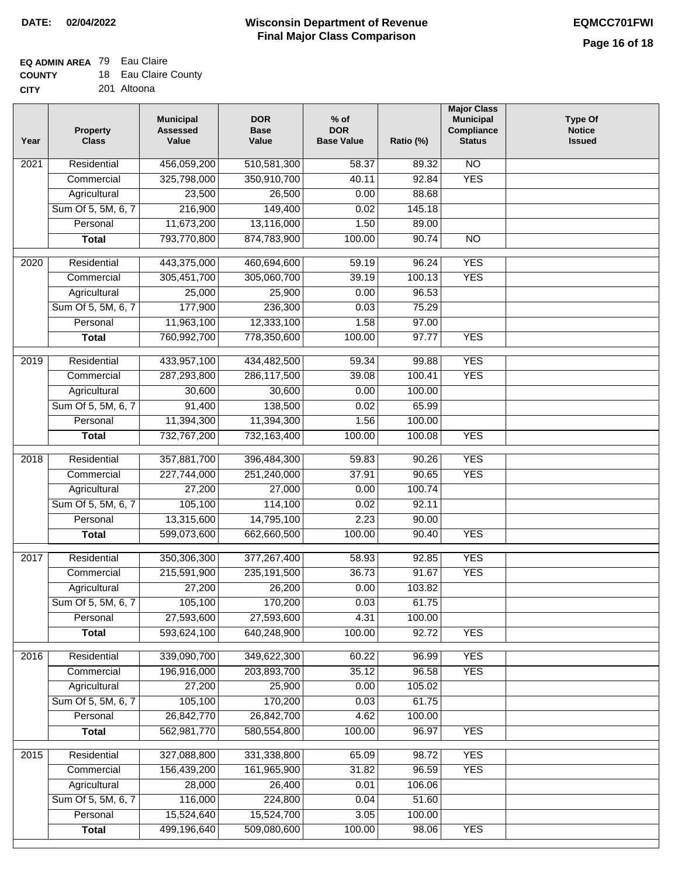## **EQ ADMIN AREA** 79 Eau Claire

| <b>COUNTY</b> | 18 Eau Claire County |
|---------------|----------------------|
| CITY          | 201 Altoona          |

| Year             | <b>Property</b><br><b>Class</b> | <b>Municipal</b><br><b>Assessed</b><br>Value | <b>DOR</b><br><b>Base</b><br>Value | $%$ of<br><b>DOR</b><br><b>Base Value</b> | Ratio (%) | <b>Major Class</b><br><b>Municipal</b><br>Compliance<br><b>Status</b> | <b>Type Of</b><br><b>Notice</b><br><b>Issued</b> |
|------------------|---------------------------------|----------------------------------------------|------------------------------------|-------------------------------------------|-----------|-----------------------------------------------------------------------|--------------------------------------------------|
| 2021             | Residential                     | 456,059,200                                  | 510,581,300                        | 58.37                                     | 89.32     | $\overline{NO}$                                                       |                                                  |
|                  | Commercial                      | 325,798,000                                  | 350,910,700                        | 40.11                                     | 92.84     | <b>YES</b>                                                            |                                                  |
|                  | Agricultural                    | 23,500                                       | 26,500                             | 0.00                                      | 88.68     |                                                                       |                                                  |
|                  | Sum Of 5, 5M, 6, 7              | 216,900                                      | 149,400                            | 0.02                                      | 145.18    |                                                                       |                                                  |
|                  | Personal                        | 11,673,200                                   | 13,116,000                         | 1.50                                      | 89.00     |                                                                       |                                                  |
|                  | <b>Total</b>                    | 793,770,800                                  | 874,783,900                        | 100.00                                    | 90.74     | <b>NO</b>                                                             |                                                  |
| 2020             | Residential                     | 443,375,000                                  | 460,694,600                        | 59.19                                     | 96.24     | <b>YES</b>                                                            |                                                  |
|                  | Commercial                      | 305,451,700                                  | 305,060,700                        | 39.19                                     | 100.13    | <b>YES</b>                                                            |                                                  |
|                  | Agricultural                    | 25,000                                       | 25,900                             | 0.00                                      | 96.53     |                                                                       |                                                  |
|                  | Sum Of 5, 5M, 6, 7              | 177,900                                      | 236,300                            | 0.03                                      | 75.29     |                                                                       |                                                  |
|                  | Personal                        | 11,963,100                                   | 12,333,100                         | 1.58                                      | 97.00     |                                                                       |                                                  |
|                  | <b>Total</b>                    | 760,992,700                                  | 778,350,600                        | 100.00                                    | 97.77     | <b>YES</b>                                                            |                                                  |
|                  |                                 |                                              |                                    |                                           |           |                                                                       |                                                  |
| $\frac{1}{2019}$ | Residential                     | 433,957,100                                  | 434,482,500                        | 59.34                                     | 99.88     | <b>YES</b>                                                            |                                                  |
|                  | Commercial                      | 287,293,800                                  | 286,117,500                        | 39.08                                     | 100.41    | <b>YES</b>                                                            |                                                  |
|                  | Agricultural                    | 30,600                                       | 30,600                             | 0.00                                      | 100.00    |                                                                       |                                                  |
|                  | Sum Of 5, 5M, 6, 7              | 91,400                                       | 138,500                            | 0.02                                      | 65.99     |                                                                       |                                                  |
|                  | Personal                        | 11,394,300                                   | 11,394,300                         | 1.56                                      | 100.00    |                                                                       |                                                  |
|                  | <b>Total</b>                    | 732,767,200                                  | 732,163,400                        | 100.00                                    | 100.08    | <b>YES</b>                                                            |                                                  |
| 2018             | Residential                     | 357,881,700                                  | 396,484,300                        | 59.83                                     | 90.26     | <b>YES</b>                                                            |                                                  |
|                  | Commercial                      | 227,744,000                                  | 251,240,000                        | 37.91                                     | 90.65     | <b>YES</b>                                                            |                                                  |
|                  | Agricultural                    | 27,200                                       | 27,000                             | 0.00                                      | 100.74    |                                                                       |                                                  |
|                  | Sum Of 5, 5M, 6, 7              | 105,100                                      | 114,100                            | 0.02                                      | 92.11     |                                                                       |                                                  |
|                  | Personal                        | 13,315,600                                   | 14,795,100                         | 2.23                                      | 90.00     |                                                                       |                                                  |
|                  | <b>Total</b>                    | 599,073,600                                  | 662,660,500                        | 100.00                                    | 90.40     | <b>YES</b>                                                            |                                                  |
| 2017             | Residential                     | 350,306,300                                  | 377,267,400                        | 58.93                                     | 92.85     | <b>YES</b>                                                            |                                                  |
|                  | Commercial                      | 215,591,900                                  | 235, 191, 500                      | 36.73                                     | 91.67     | <b>YES</b>                                                            |                                                  |
|                  | Agricultural                    | 27,200                                       | 26,200                             | 0.00                                      | 103.82    |                                                                       |                                                  |
|                  | Sum Of 5, 5M, 6, 7              | 105,100                                      | 170,200                            | 0.03                                      | 61.75     |                                                                       |                                                  |
|                  | Personal                        | 27,593,600                                   | 27,593,600                         | 4.31                                      | 100.00    |                                                                       |                                                  |
|                  | <b>Total</b>                    | 593,624,100                                  | 640,248,900                        | 100.00                                    | 92.72     | <b>YES</b>                                                            |                                                  |
|                  |                                 |                                              |                                    |                                           |           |                                                                       |                                                  |
| 2016             | Residential                     | 339,090,700                                  | 349,622,300                        | 60.22                                     | 96.99     | <b>YES</b>                                                            |                                                  |
|                  | Commercial                      | 196,916,000                                  | 203,893,700                        | 35.12                                     | 96.58     | <b>YES</b>                                                            |                                                  |
|                  | Agricultural                    | 27,200                                       | 25,900                             | 0.00                                      | 105.02    |                                                                       |                                                  |
|                  | Sum Of 5, 5M, 6, 7              | 105,100                                      | 170,200                            | 0.03                                      | 61.75     |                                                                       |                                                  |
|                  | Personal                        | 26,842,770                                   | 26,842,700                         | 4.62                                      | 100.00    |                                                                       |                                                  |
|                  | <b>Total</b>                    | 562,981,770                                  | 580,554,800                        | 100.00                                    | 96.97     | <b>YES</b>                                                            |                                                  |
| 2015             | Residential                     | 327,088,800                                  | 331,338,800                        | 65.09                                     | 98.72     | <b>YES</b>                                                            |                                                  |
|                  | Commercial                      | 156,439,200                                  | 161,965,900                        | 31.82                                     | 96.59     | <b>YES</b>                                                            |                                                  |
|                  | Agricultural                    | 28,000                                       | 26,400                             | 0.01                                      | 106.06    |                                                                       |                                                  |
|                  | Sum Of 5, 5M, 6, 7              | 116,000                                      | 224,800                            | 0.04                                      | 51.60     |                                                                       |                                                  |
|                  | Personal                        | 15,524,640                                   | 15,524,700                         | 3.05                                      | 100.00    |                                                                       |                                                  |
|                  | <b>Total</b>                    | 499,196,640                                  | 509,080,600                        | 100.00                                    | 98.06     | <b>YES</b>                                                            |                                                  |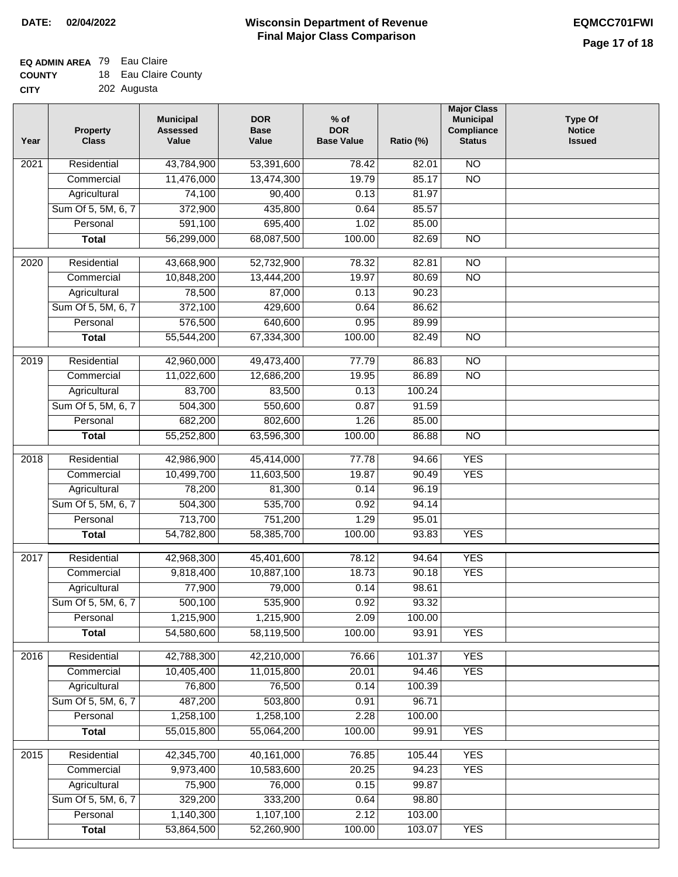## **EQ ADMIN AREA** 79 Eau Claire

| <b>COUNTY</b> | 18 Eau Claire County |
|---------------|----------------------|
| CITY          | 202 Augusta          |

| Year              | <b>Property</b><br><b>Class</b> | <b>Municipal</b><br><b>Assessed</b><br>Value | <b>DOR</b><br><b>Base</b><br>Value | $%$ of<br><b>DOR</b><br><b>Base Value</b> | Ratio (%) | <b>Major Class</b><br><b>Municipal</b><br>Compliance<br><b>Status</b> | Type Of<br><b>Notice</b><br><b>Issued</b> |
|-------------------|---------------------------------|----------------------------------------------|------------------------------------|-------------------------------------------|-----------|-----------------------------------------------------------------------|-------------------------------------------|
| $\overline{202}1$ | Residential                     | 43,784,900                                   | 53,391,600                         | 78.42                                     | 82.01     | $\overline{NO}$                                                       |                                           |
|                   | Commercial                      | 11,476,000                                   | 13,474,300                         | 19.79                                     | 85.17     | $\overline{NO}$                                                       |                                           |
|                   | Agricultural                    | 74,100                                       | 90,400                             | 0.13                                      | 81.97     |                                                                       |                                           |
|                   | Sum Of 5, 5M, 6, 7              | 372,900                                      | 435,800                            | 0.64                                      | 85.57     |                                                                       |                                           |
|                   | Personal                        | 591,100                                      | 695,400                            | 1.02                                      | 85.00     |                                                                       |                                           |
|                   | <b>Total</b>                    | 56,299,000                                   | 68,087,500                         | 100.00                                    | 82.69     | $\overline{NO}$                                                       |                                           |
|                   |                                 |                                              |                                    |                                           |           |                                                                       |                                           |
| $\overline{2020}$ | Residential                     | 43,668,900                                   | 52,732,900                         | 78.32                                     | 82.81     | $\overline{NO}$                                                       |                                           |
|                   | Commercial                      | 10,848,200                                   | 13,444,200                         | 19.97                                     | 80.69     | $\overline{NO}$                                                       |                                           |
|                   | Agricultural                    | 78,500                                       | 87,000                             | 0.13                                      | 90.23     |                                                                       |                                           |
|                   | Sum Of 5, 5M, 6, 7              | 372,100                                      | 429,600                            | 0.64                                      | 86.62     |                                                                       |                                           |
|                   | Personal                        | 576,500                                      | 640,600                            | 0.95                                      | 89.99     |                                                                       |                                           |
|                   | <b>Total</b>                    | 55,544,200                                   | 67,334,300                         | 100.00                                    | 82.49     | $\overline{NO}$                                                       |                                           |
| 2019              | Residential                     | 42,960,000                                   | 49,473,400                         | 77.79                                     | 86.83     | $\overline{NO}$                                                       |                                           |
|                   | Commercial                      | 11,022,600                                   | 12,686,200                         | 19.95                                     | 86.89     | $\overline{NO}$                                                       |                                           |
|                   | Agricultural                    | 83,700                                       | 83,500                             | 0.13                                      | 100.24    |                                                                       |                                           |
|                   | Sum Of 5, 5M, 6, 7              | 504,300                                      | 550,600                            | 0.87                                      | 91.59     |                                                                       |                                           |
|                   | Personal                        | 682,200                                      | 802,600                            | 1.26                                      | 85.00     |                                                                       |                                           |
|                   | <b>Total</b>                    | 55,252,800                                   | 63,596,300                         | 100.00                                    | 86.88     | $\overline{NO}$                                                       |                                           |
| 2018              | Residential                     | 42,986,900                                   | 45,414,000                         | 77.78                                     | 94.66     | <b>YES</b>                                                            |                                           |
|                   | Commercial                      | 10,499,700                                   | 11,603,500                         | 19.87                                     | 90.49     | <b>YES</b>                                                            |                                           |
|                   | Agricultural                    | 78,200                                       | 81,300                             | 0.14                                      | 96.19     |                                                                       |                                           |
|                   | Sum Of 5, 5M, 6, 7              | 504,300                                      | 535,700                            | 0.92                                      | 94.14     |                                                                       |                                           |
|                   | Personal                        | 713,700                                      | 751,200                            | 1.29                                      | 95.01     |                                                                       |                                           |
|                   | <b>Total</b>                    | 54,782,800                                   | 58,385,700                         | 100.00                                    | 93.83     | <b>YES</b>                                                            |                                           |
|                   |                                 |                                              |                                    |                                           |           |                                                                       |                                           |
| 2017              | Residential                     | 42,968,300                                   | 45,401,600                         | 78.12                                     | 94.64     | <b>YES</b>                                                            |                                           |
|                   | Commercial                      | 9,818,400                                    | 10,887,100                         | 18.73                                     | 90.18     | <b>YES</b>                                                            |                                           |
|                   | Agricultural                    | 77,900                                       | 79,000                             | 0.14                                      | 98.61     |                                                                       |                                           |
|                   | Sum Of 5, 5M, 6, 7              | 500,100                                      | 535,900                            | 0.92                                      | 93.32     |                                                                       |                                           |
|                   | Personal                        | 1,215,900                                    | 1,215,900                          | 2.09                                      | 100.00    |                                                                       |                                           |
|                   | <b>Total</b>                    | 54,580,600                                   | 58,119,500                         | 100.00                                    | 93.91     | <b>YES</b>                                                            |                                           |
| 2016              | Residential                     | 42,788,300                                   | 42,210,000                         | 76.66                                     | 101.37    | <b>YES</b>                                                            |                                           |
|                   | Commercial                      | 10,405,400                                   | 11,015,800                         | 20.01                                     | 94.46     | <b>YES</b>                                                            |                                           |
|                   | Agricultural                    | 76,800                                       | 76,500                             | 0.14                                      | 100.39    |                                                                       |                                           |
|                   | Sum Of 5, 5M, 6, 7              | 487,200                                      | 503,800                            | 0.91                                      | 96.71     |                                                                       |                                           |
|                   | Personal                        | 1,258,100                                    | 1,258,100                          | 2.28                                      | 100.00    |                                                                       |                                           |
|                   | <b>Total</b>                    | 55,015,800                                   | 55,064,200                         | 100.00                                    | 99.91     | <b>YES</b>                                                            |                                           |
|                   |                                 |                                              |                                    |                                           |           |                                                                       |                                           |
| 2015              | Residential                     | 42,345,700                                   | 40,161,000                         | 76.85                                     | 105.44    | <b>YES</b>                                                            |                                           |
|                   | Commercial                      | 9,973,400                                    | 10,583,600                         | 20.25                                     | 94.23     | <b>YES</b>                                                            |                                           |
|                   | Agricultural                    | 75,900                                       | 76,000                             | 0.15                                      | 99.87     |                                                                       |                                           |
|                   | Sum Of 5, 5M, 6, 7              | 329,200                                      | 333,200                            | 0.64                                      | 98.80     |                                                                       |                                           |
|                   | Personal                        | 1,140,300                                    | 1,107,100                          | 2.12                                      | 103.00    |                                                                       |                                           |
|                   | <b>Total</b>                    | 53,864,500                                   | 52,260,900                         | 100.00                                    | 103.07    | <b>YES</b>                                                            |                                           |